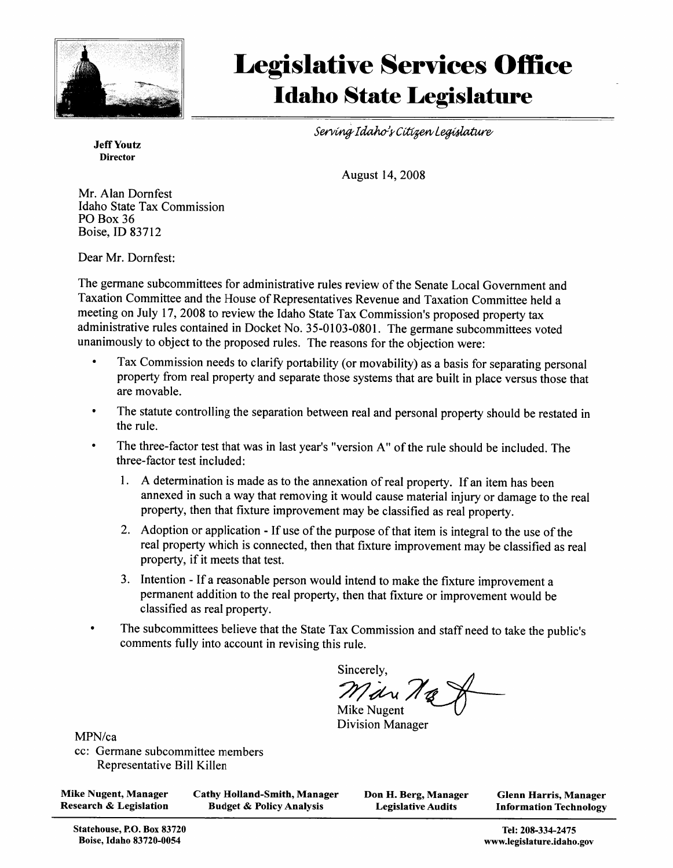

# **Legislative Services Office Idaho State Legislature**

Serving Idaho's Citizen Legislature

**Jeff Youtz Director** 

August 14, 2008

Mr. Alan Dornfest Idaho State Tax Commission PO Box 36 Boise, ID 83712

Dear Mr. Dornfest:

The germane subcommittees for administrative rules review of the Senate Local Government and Taxation Committee and the House of Representatives Revenue and Taxation Committee held a meeting on July 17, 2008 to review the Idaho State Tax Commission's proposed property tax administrative rules contained in Docket No. 35-0103-0801. The germane subcommittees voted unanimously to object to the proposed rules. The reasons for the objection were:

- Tax Commission needs to clarify portability (or movability) as a basis for separating personal property from real property and separate those systems that are built in place versus those that are movable.
- The statute controlling the separation between real and personal property should be restated in the rule.
- $\bullet$ The three-factor test that was in last year's "version A" of the rule should be included. The three-factor test included:
	- 1. A determination is made as to the annexation of real property. If an item has been annexed in such a way that removing it would cause material injury or damage to the real property, then that fixture improvement may be classified as real property.
	- 2. Adoption or application If use of the purpose of that item is integral to the use of the real property which is connected, then that fixture improvement may be classified as real property, if it meets that test.
	- 3. Intention If a reasonable person would intend to make the fixture improvement a permanent addition to the real property, then that fixture or improvement would be classified as real property.
- The subcommittees believe that the State Tax Commission and staff need to take the public's comments fully into account in revising this rule.

Sincerely, Mari 10 Mike Nugent

**Division Manager** 

MPN/ca

cc: Germane subcommittee members Representative Bill Killen

**Mike Nugent, Manager Research & Legislation** 

**Cathy Holland-Smith, Manager Budget & Policy Analysis** 

Don H. Berg, Manager **Legislative Audits** 

**Glenn Harris, Manager Information Technology** 

Tel: 208-334-2475 www.legislature.idaho.gov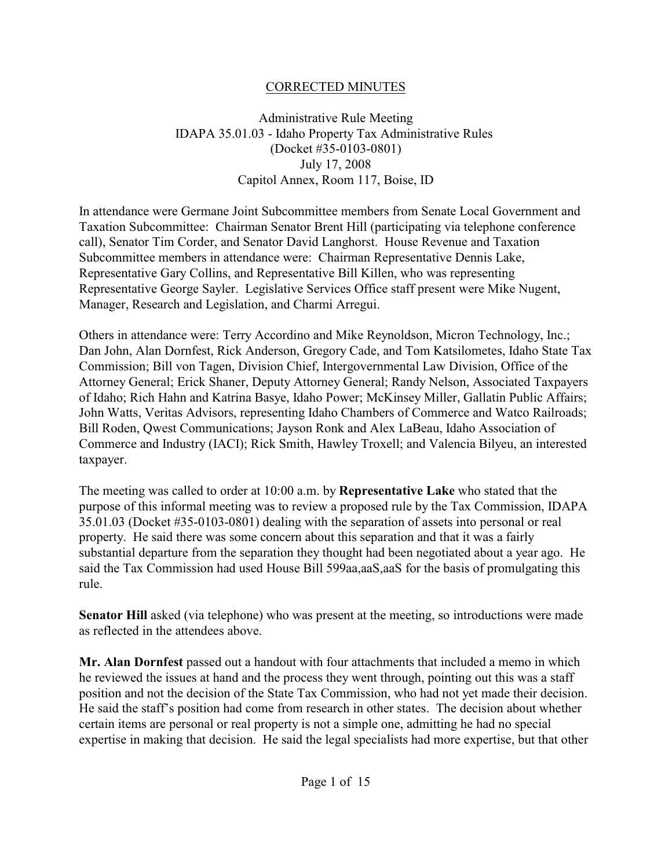# CORRECTED MINUTES

# Administrative Rule Meeting IDAPA 35.01.03 - Idaho Property Tax Administrative Rules (Docket #35-0103-0801) July 17, 2008 Capitol Annex, Room 117, Boise, ID

In attendance were Germane Joint Subcommittee members from Senate Local Government and Taxation Subcommittee: Chairman Senator Brent Hill (participating via telephone conference call), Senator Tim Corder, and Senator David Langhorst. House Revenue and Taxation Subcommittee members in attendance were: Chairman Representative Dennis Lake, Representative Gary Collins, and Representative Bill Killen, who was representing Representative George Sayler. Legislative Services Office staff present were Mike Nugent, Manager, Research and Legislation, and Charmi Arregui.

Others in attendance were: Terry Accordino and Mike Reynoldson, Micron Technology, Inc.; Dan John, Alan Dornfest, Rick Anderson, Gregory Cade, and Tom Katsilometes, Idaho State Tax Commission; Bill von Tagen, Division Chief, Intergovernmental Law Division, Office of the Attorney General; Erick Shaner, Deputy Attorney General; Randy Nelson, Associated Taxpayers of Idaho; Rich Hahn and Katrina Basye, Idaho Power; McKinsey Miller, Gallatin Public Affairs; John Watts, Veritas Advisors, representing Idaho Chambers of Commerce and Watco Railroads; Bill Roden, Qwest Communications; Jayson Ronk and Alex LaBeau, Idaho Association of Commerce and Industry (IACI); Rick Smith, Hawley Troxell; and Valencia Bilyeu, an interested taxpayer.

The meeting was called to order at 10:00 a.m. by **Representative Lake** who stated that the purpose of this informal meeting was to review a proposed rule by the Tax Commission, IDAPA 35.01.03 (Docket #35-0103-0801) dealing with the separation of assets into personal or real property. He said there was some concern about this separation and that it was a fairly substantial departure from the separation they thought had been negotiated about a year ago. He said the Tax Commission had used House Bill 599aa,aaS,aaS for the basis of promulgating this rule.

**Senator Hill** asked (via telephone) who was present at the meeting, so introductions were made as reflected in the attendees above.

**Mr. Alan Dornfest** passed out a handout with four attachments that included a memo in which he reviewed the issues at hand and the process they went through, pointing out this was a staff position and not the decision of the State Tax Commission, who had not yet made their decision. He said the staff's position had come from research in other states. The decision about whether certain items are personal or real property is not a simple one, admitting he had no special expertise in making that decision. He said the legal specialists had more expertise, but that other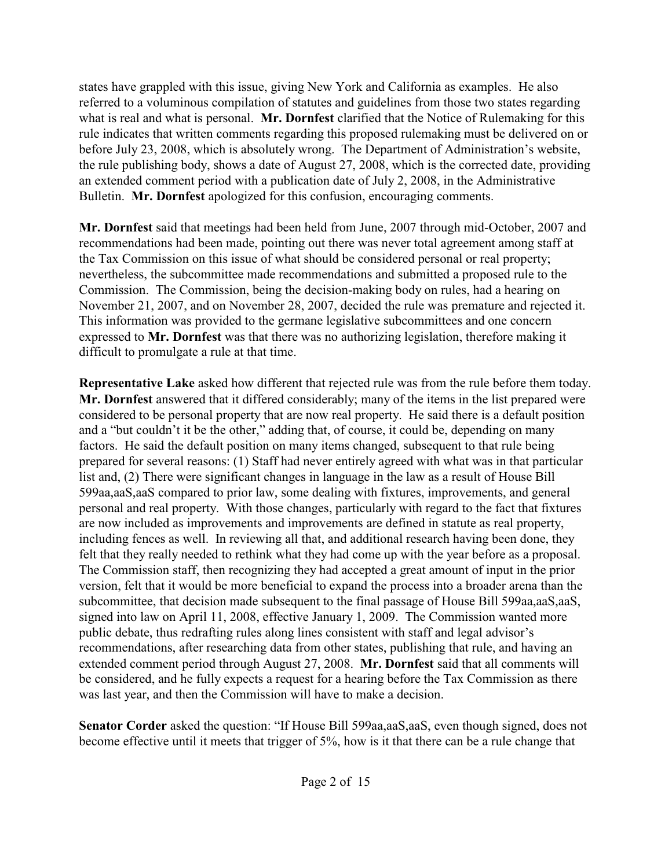states have grappled with this issue, giving New York and California as examples. He also referred to a voluminous compilation of statutes and guidelines from those two states regarding what is real and what is personal. **Mr. Dornfest** clarified that the Notice of Rulemaking for this rule indicates that written comments regarding this proposed rulemaking must be delivered on or before July 23, 2008, which is absolutely wrong. The Department of Administration's website, the rule publishing body, shows a date of August 27, 2008, which is the corrected date, providing an extended comment period with a publication date of July 2, 2008, in the Administrative Bulletin. **Mr. Dornfest** apologized for this confusion, encouraging comments.

**Mr. Dornfest** said that meetings had been held from June, 2007 through mid-October, 2007 and recommendations had been made, pointing out there was never total agreement among staff at the Tax Commission on this issue of what should be considered personal or real property; nevertheless, the subcommittee made recommendations and submitted a proposed rule to the Commission. The Commission, being the decision-making body on rules, had a hearing on November 21, 2007, and on November 28, 2007, decided the rule was premature and rejected it. This information was provided to the germane legislative subcommittees and one concern expressed to **Mr. Dornfest** was that there was no authorizing legislation, therefore making it difficult to promulgate a rule at that time.

**Representative Lake** asked how different that rejected rule was from the rule before them today. **Mr. Dornfest** answered that it differed considerably; many of the items in the list prepared were considered to be personal property that are now real property. He said there is a default position and a "but couldn't it be the other," adding that, of course, it could be, depending on many factors. He said the default position on many items changed, subsequent to that rule being prepared for several reasons: (1) Staff had never entirely agreed with what was in that particular list and, (2) There were significant changes in language in the law as a result of House Bill 599aa,aaS,aaS compared to prior law, some dealing with fixtures, improvements, and general personal and real property. With those changes, particularly with regard to the fact that fixtures are now included as improvements and improvements are defined in statute as real property, including fences as well. In reviewing all that, and additional research having been done, they felt that they really needed to rethink what they had come up with the year before as a proposal. The Commission staff, then recognizing they had accepted a great amount of input in the prior version, felt that it would be more beneficial to expand the process into a broader arena than the subcommittee, that decision made subsequent to the final passage of House Bill 599aa,aaS,aaS, signed into law on April 11, 2008, effective January 1, 2009. The Commission wanted more public debate, thus redrafting rules along lines consistent with staff and legal advisor's recommendations, after researching data from other states, publishing that rule, and having an extended comment period through August 27, 2008. **Mr. Dornfest** said that all comments will be considered, and he fully expects a request for a hearing before the Tax Commission as there was last year, and then the Commission will have to make a decision.

**Senator Corder** asked the question: "If House Bill 599aa,aaS, aaS, even though signed, does not become effective until it meets that trigger of 5%, how is it that there can be a rule change that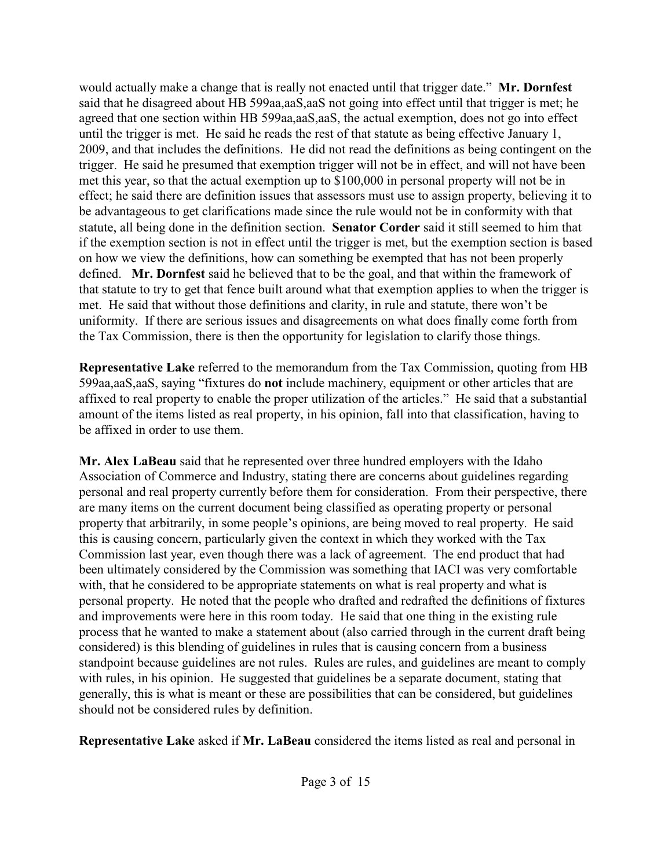would actually make a change that is really not enacted until that trigger date." **Mr. Dornfest** said that he disagreed about HB 599aa,aaS,aaS not going into effect until that trigger is met; he agreed that one section within HB 599aa,aaS,aaS, the actual exemption, does not go into effect until the trigger is met. He said he reads the rest of that statute as being effective January 1, 2009, and that includes the definitions. He did not read the definitions as being contingent on the trigger. He said he presumed that exemption trigger will not be in effect, and will not have been met this year, so that the actual exemption up to \$100,000 in personal property will not be in effect; he said there are definition issues that assessors must use to assign property, believing it to be advantageous to get clarifications made since the rule would not be in conformity with that statute, all being done in the definition section. **Senator Corder** said it still seemed to him that if the exemption section is not in effect until the trigger is met, but the exemption section is based on how we view the definitions, how can something be exempted that has not been properly defined. **Mr. Dornfest** said he believed that to be the goal, and that within the framework of that statute to try to get that fence built around what that exemption applies to when the trigger is met. He said that without those definitions and clarity, in rule and statute, there won't be uniformity. If there are serious issues and disagreements on what does finally come forth from the Tax Commission, there is then the opportunity for legislation to clarify those things.

**Representative Lake** referred to the memorandum from the Tax Commission, quoting from HB 599aa,aaS,aaS, saying "fixtures do **not** include machinery, equipment or other articles that are affixed to real property to enable the proper utilization of the articles." He said that a substantial amount of the items listed as real property, in his opinion, fall into that classification, having to be affixed in order to use them.

**Mr. Alex LaBeau** said that he represented over three hundred employers with the Idaho Association of Commerce and Industry, stating there are concerns about guidelines regarding personal and real property currently before them for consideration. From their perspective, there are many items on the current document being classified as operating property or personal property that arbitrarily, in some people's opinions, are being moved to real property. He said this is causing concern, particularly given the context in which they worked with the Tax Commission last year, even though there was a lack of agreement. The end product that had been ultimately considered by the Commission was something that IACI was very comfortable with, that he considered to be appropriate statements on what is real property and what is personal property. He noted that the people who drafted and redrafted the definitions of fixtures and improvements were here in this room today. He said that one thing in the existing rule process that he wanted to make a statement about (also carried through in the current draft being considered) is this blending of guidelines in rules that is causing concern from a business standpoint because guidelines are not rules. Rules are rules, and guidelines are meant to comply with rules, in his opinion. He suggested that guidelines be a separate document, stating that generally, this is what is meant or these are possibilities that can be considered, but guidelines should not be considered rules by definition.

**Representative Lake** asked if **Mr. LaBeau** considered the items listed as real and personal in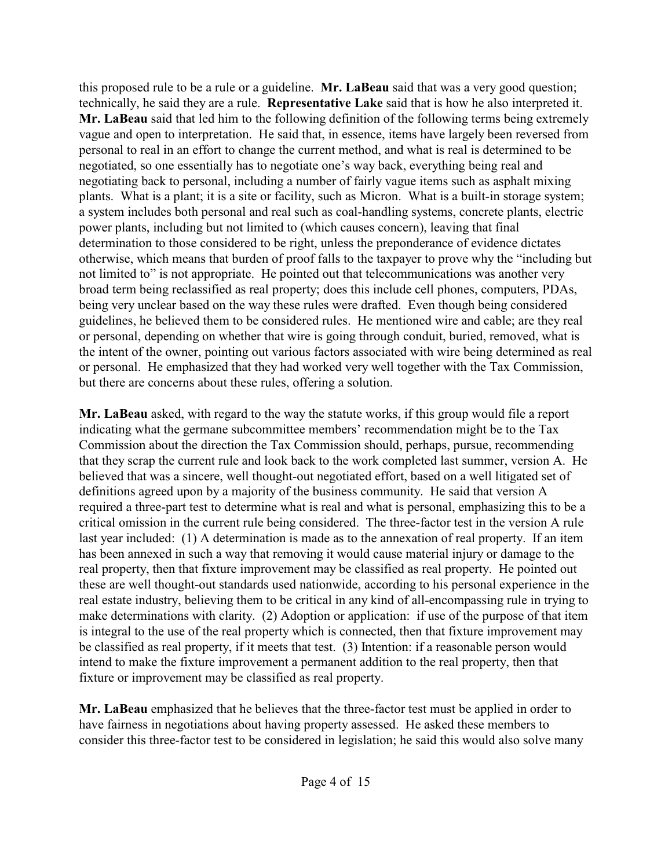this proposed rule to be a rule or a guideline. **Mr. LaBeau** said that was a very good question; technically, he said they are a rule. **Representative Lake** said that is how he also interpreted it. **Mr. LaBeau** said that led him to the following definition of the following terms being extremely vague and open to interpretation. He said that, in essence, items have largely been reversed from personal to real in an effort to change the current method, and what is real is determined to be negotiated, so one essentially has to negotiate one's way back, everything being real and negotiating back to personal, including a number of fairly vague items such as asphalt mixing plants. What is a plant; it is a site or facility, such as Micron. What is a built-in storage system; a system includes both personal and real such as coal-handling systems, concrete plants, electric power plants, including but not limited to (which causes concern), leaving that final determination to those considered to be right, unless the preponderance of evidence dictates otherwise, which means that burden of proof falls to the taxpayer to prove why the "including but not limited to" is not appropriate. He pointed out that telecommunications was another very broad term being reclassified as real property; does this include cell phones, computers, PDAs, being very unclear based on the way these rules were drafted. Even though being considered guidelines, he believed them to be considered rules. He mentioned wire and cable; are they real or personal, depending on whether that wire is going through conduit, buried, removed, what is the intent of the owner, pointing out various factors associated with wire being determined as real or personal. He emphasized that they had worked very well together with the Tax Commission, but there are concerns about these rules, offering a solution.

**Mr. LaBeau** asked, with regard to the way the statute works, if this group would file a report indicating what the germane subcommittee members' recommendation might be to the Tax Commission about the direction the Tax Commission should, perhaps, pursue, recommending that they scrap the current rule and look back to the work completed last summer, version A. He believed that was a sincere, well thought-out negotiated effort, based on a well litigated set of definitions agreed upon by a majority of the business community. He said that version A required a three-part test to determine what is real and what is personal, emphasizing this to be a critical omission in the current rule being considered. The three-factor test in the version A rule last year included: (1) A determination is made as to the annexation of real property. If an item has been annexed in such a way that removing it would cause material injury or damage to the real property, then that fixture improvement may be classified as real property. He pointed out these are well thought-out standards used nationwide, according to his personal experience in the real estate industry, believing them to be critical in any kind of all-encompassing rule in trying to make determinations with clarity. (2) Adoption or application: if use of the purpose of that item is integral to the use of the real property which is connected, then that fixture improvement may be classified as real property, if it meets that test. (3) Intention: if a reasonable person would intend to make the fixture improvement a permanent addition to the real property, then that fixture or improvement may be classified as real property.

**Mr. LaBeau** emphasized that he believes that the three-factor test must be applied in order to have fairness in negotiations about having property assessed. He asked these members to consider this three-factor test to be considered in legislation; he said this would also solve many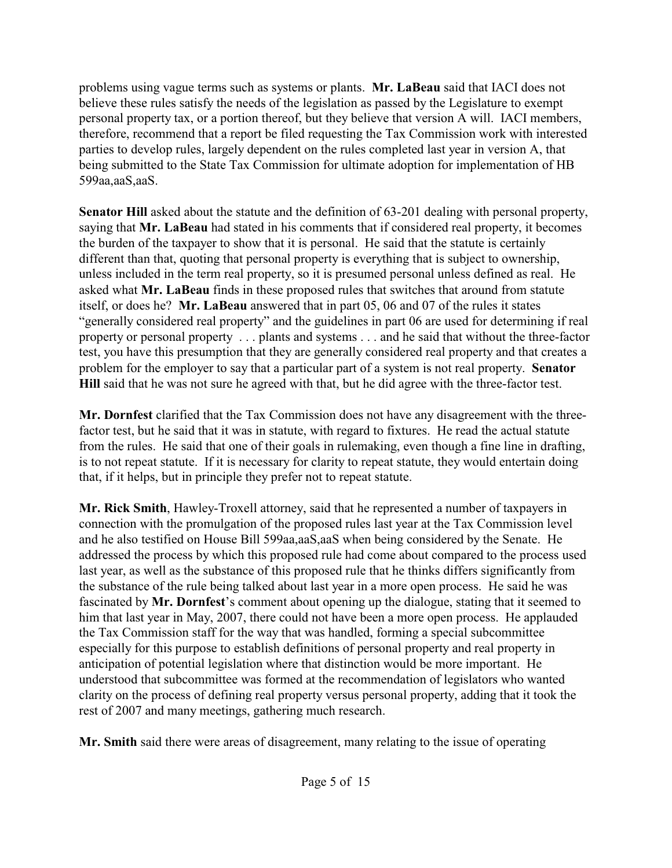problems using vague terms such as systems or plants. **Mr. LaBeau** said that IACI does not believe these rules satisfy the needs of the legislation as passed by the Legislature to exempt personal property tax, or a portion thereof, but they believe that version A will. IACI members, therefore, recommend that a report be filed requesting the Tax Commission work with interested parties to develop rules, largely dependent on the rules completed last year in version A, that being submitted to the State Tax Commission for ultimate adoption for implementation of HB 599aa,aaS,aaS.

**Senator Hill** asked about the statute and the definition of 63-201 dealing with personal property, saying that **Mr. LaBeau** had stated in his comments that if considered real property, it becomes the burden of the taxpayer to show that it is personal. He said that the statute is certainly different than that, quoting that personal property is everything that is subject to ownership, unless included in the term real property, so it is presumed personal unless defined as real. He asked what **Mr. LaBeau** finds in these proposed rules that switches that around from statute itself, or does he? **Mr. LaBeau** answered that in part 05, 06 and 07 of the rules it states "generally considered real property" and the guidelines in part 06 are used for determining if real property or personal property . . . plants and systems . . . and he said that without the three-factor test, you have this presumption that they are generally considered real property and that creates a problem for the employer to say that a particular part of a system is not real property. **Senator Hill** said that he was not sure he agreed with that, but he did agree with the three-factor test.

**Mr. Dornfest** clarified that the Tax Commission does not have any disagreement with the threefactor test, but he said that it was in statute, with regard to fixtures. He read the actual statute from the rules. He said that one of their goals in rulemaking, even though a fine line in drafting, is to not repeat statute. If it is necessary for clarity to repeat statute, they would entertain doing that, if it helps, but in principle they prefer not to repeat statute.

**Mr. Rick Smith**, Hawley-Troxell attorney, said that he represented a number of taxpayers in connection with the promulgation of the proposed rules last year at the Tax Commission level and he also testified on House Bill 599aa,aaS,aaS when being considered by the Senate. He addressed the process by which this proposed rule had come about compared to the process used last year, as well as the substance of this proposed rule that he thinks differs significantly from the substance of the rule being talked about last year in a more open process. He said he was fascinated by **Mr. Dornfest**'s comment about opening up the dialogue, stating that it seemed to him that last year in May, 2007, there could not have been a more open process. He applauded the Tax Commission staff for the way that was handled, forming a special subcommittee especially for this purpose to establish definitions of personal property and real property in anticipation of potential legislation where that distinction would be more important. He understood that subcommittee was formed at the recommendation of legislators who wanted clarity on the process of defining real property versus personal property, adding that it took the rest of 2007 and many meetings, gathering much research.

**Mr. Smith** said there were areas of disagreement, many relating to the issue of operating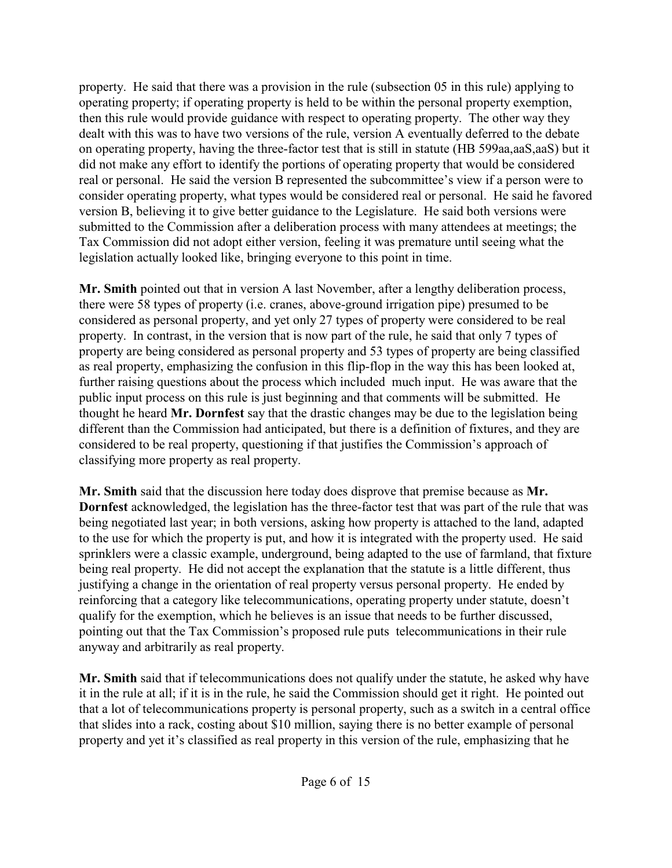property. He said that there was a provision in the rule (subsection 05 in this rule) applying to operating property; if operating property is held to be within the personal property exemption, then this rule would provide guidance with respect to operating property. The other way they dealt with this was to have two versions of the rule, version A eventually deferred to the debate on operating property, having the three-factor test that is still in statute (HB 599aa,aaS,aaS) but it did not make any effort to identify the portions of operating property that would be considered real or personal. He said the version B represented the subcommittee's view if a person were to consider operating property, what types would be considered real or personal. He said he favored version B, believing it to give better guidance to the Legislature. He said both versions were submitted to the Commission after a deliberation process with many attendees at meetings; the Tax Commission did not adopt either version, feeling it was premature until seeing what the legislation actually looked like, bringing everyone to this point in time.

**Mr. Smith** pointed out that in version A last November, after a lengthy deliberation process, there were 58 types of property (i.e. cranes, above-ground irrigation pipe) presumed to be considered as personal property, and yet only 27 types of property were considered to be real property. In contrast, in the version that is now part of the rule, he said that only 7 types of property are being considered as personal property and 53 types of property are being classified as real property, emphasizing the confusion in this flip-flop in the way this has been looked at, further raising questions about the process which included much input. He was aware that the public input process on this rule is just beginning and that comments will be submitted. He thought he heard **Mr. Dornfest** say that the drastic changes may be due to the legislation being different than the Commission had anticipated, but there is a definition of fixtures, and they are considered to be real property, questioning if that justifies the Commission's approach of classifying more property as real property.

**Mr. Smith** said that the discussion here today does disprove that premise because as **Mr. Dornfest** acknowledged, the legislation has the three-factor test that was part of the rule that was being negotiated last year; in both versions, asking how property is attached to the land, adapted to the use for which the property is put, and how it is integrated with the property used. He said sprinklers were a classic example, underground, being adapted to the use of farmland, that fixture being real property. He did not accept the explanation that the statute is a little different, thus justifying a change in the orientation of real property versus personal property. He ended by reinforcing that a category like telecommunications, operating property under statute, doesn't qualify for the exemption, which he believes is an issue that needs to be further discussed, pointing out that the Tax Commission's proposed rule puts telecommunications in their rule anyway and arbitrarily as real property.

**Mr. Smith** said that if telecommunications does not qualify under the statute, he asked why have it in the rule at all; if it is in the rule, he said the Commission should get it right. He pointed out that a lot of telecommunications property is personal property, such as a switch in a central office that slides into a rack, costing about \$10 million, saying there is no better example of personal property and yet it's classified as real property in this version of the rule, emphasizing that he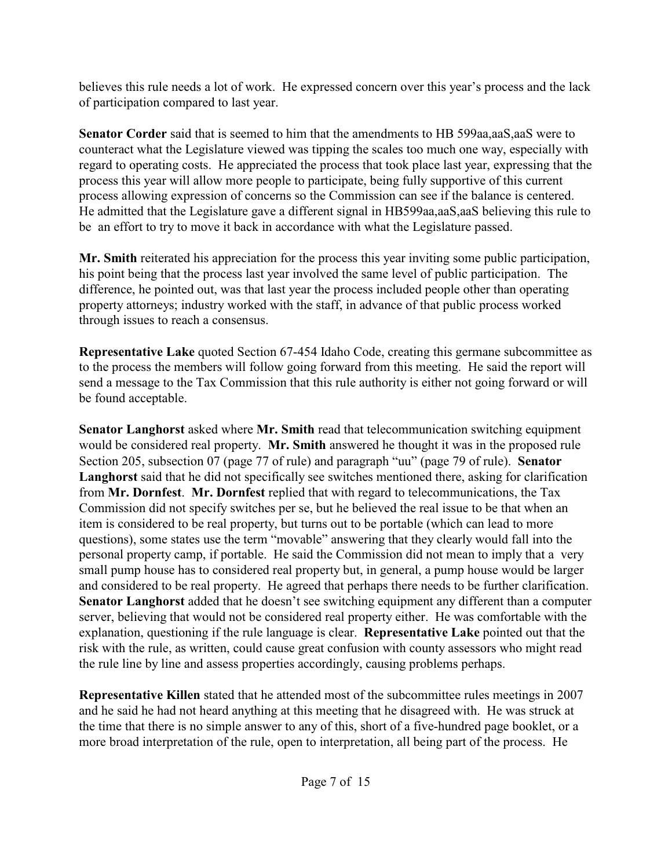believes this rule needs a lot of work. He expressed concern over this year's process and the lack of participation compared to last year.

**Senator Corder** said that is seemed to him that the amendments to HB 599aa,aaS,aaS were to counteract what the Legislature viewed was tipping the scales too much one way, especially with regard to operating costs. He appreciated the process that took place last year, expressing that the process this year will allow more people to participate, being fully supportive of this current process allowing expression of concerns so the Commission can see if the balance is centered. He admitted that the Legislature gave a different signal in HB599aa,aaS,aaS believing this rule to be an effort to try to move it back in accordance with what the Legislature passed.

**Mr. Smith** reiterated his appreciation for the process this year inviting some public participation, his point being that the process last year involved the same level of public participation. The difference, he pointed out, was that last year the process included people other than operating property attorneys; industry worked with the staff, in advance of that public process worked through issues to reach a consensus.

**Representative Lake** quoted Section 67-454 Idaho Code, creating this germane subcommittee as to the process the members will follow going forward from this meeting. He said the report will send a message to the Tax Commission that this rule authority is either not going forward or will be found acceptable.

**Senator Langhorst** asked where **Mr. Smith** read that telecommunication switching equipment would be considered real property. **Mr. Smith** answered he thought it was in the proposed rule Section 205, subsection 07 (page 77 of rule) and paragraph "uu" (page 79 of rule). **Senator Langhorst** said that he did not specifically see switches mentioned there, asking for clarification from **Mr. Dornfest**. **Mr. Dornfest** replied that with regard to telecommunications, the Tax Commission did not specify switches per se, but he believed the real issue to be that when an item is considered to be real property, but turns out to be portable (which can lead to more questions), some states use the term "movable" answering that they clearly would fall into the personal property camp, if portable. He said the Commission did not mean to imply that a very small pump house has to considered real property but, in general, a pump house would be larger and considered to be real property. He agreed that perhaps there needs to be further clarification. **Senator Langhorst** added that he doesn't see switching equipment any different than a computer server, believing that would not be considered real property either. He was comfortable with the explanation, questioning if the rule language is clear. **Representative Lake** pointed out that the risk with the rule, as written, could cause great confusion with county assessors who might read the rule line by line and assess properties accordingly, causing problems perhaps.

**Representative Killen** stated that he attended most of the subcommittee rules meetings in 2007 and he said he had not heard anything at this meeting that he disagreed with. He was struck at the time that there is no simple answer to any of this, short of a five-hundred page booklet, or a more broad interpretation of the rule, open to interpretation, all being part of the process. He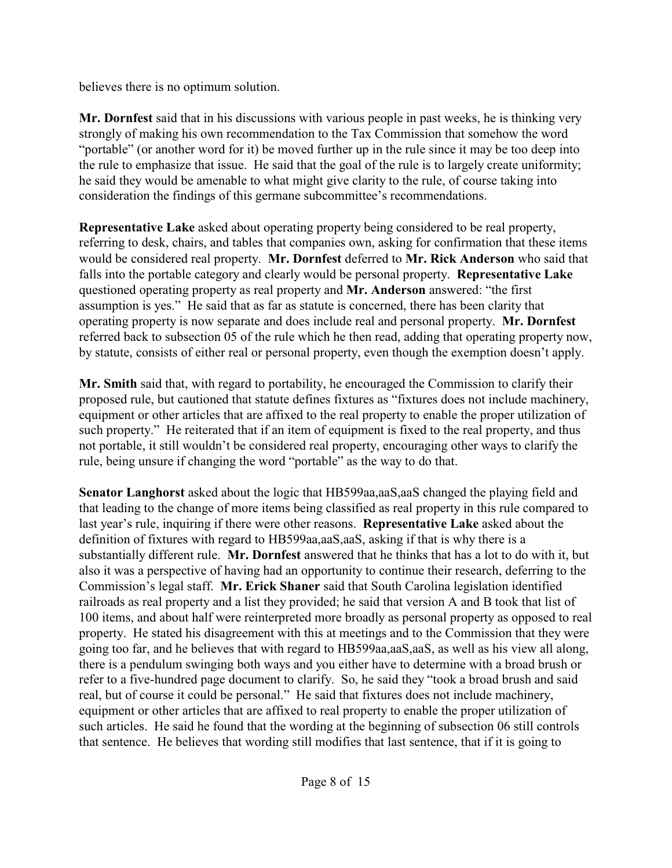believes there is no optimum solution.

**Mr. Dornfest** said that in his discussions with various people in past weeks, he is thinking very strongly of making his own recommendation to the Tax Commission that somehow the word "portable" (or another word for it) be moved further up in the rule since it may be too deep into the rule to emphasize that issue. He said that the goal of the rule is to largely create uniformity; he said they would be amenable to what might give clarity to the rule, of course taking into consideration the findings of this germane subcommittee's recommendations.

**Representative Lake** asked about operating property being considered to be real property, referring to desk, chairs, and tables that companies own, asking for confirmation that these items would be considered real property. **Mr. Dornfest** deferred to **Mr. Rick Anderson** who said that falls into the portable category and clearly would be personal property. **Representative Lake** questioned operating property as real property and **Mr. Anderson** answered: "the first assumption is yes." He said that as far as statute is concerned, there has been clarity that operating property is now separate and does include real and personal property. **Mr. Dornfest** referred back to subsection 05 of the rule which he then read, adding that operating property now, by statute, consists of either real or personal property, even though the exemption doesn't apply.

**Mr. Smith** said that, with regard to portability, he encouraged the Commission to clarify their proposed rule, but cautioned that statute defines fixtures as "fixtures does not include machinery, equipment or other articles that are affixed to the real property to enable the proper utilization of such property." He reiterated that if an item of equipment is fixed to the real property, and thus not portable, it still wouldn't be considered real property, encouraging other ways to clarify the rule, being unsure if changing the word "portable" as the way to do that.

**Senator Langhorst** asked about the logic that HB599aa,aaS,aaS changed the playing field and that leading to the change of more items being classified as real property in this rule compared to last year's rule, inquiring if there were other reasons. **Representative Lake** asked about the definition of fixtures with regard to HB599aa,aaS,aaS, asking if that is why there is a substantially different rule. **Mr. Dornfest** answered that he thinks that has a lot to do with it, but also it was a perspective of having had an opportunity to continue their research, deferring to the Commission's legal staff. **Mr. Erick Shaner** said that South Carolina legislation identified railroads as real property and a list they provided; he said that version A and B took that list of 100 items, and about half were reinterpreted more broadly as personal property as opposed to real property. He stated his disagreement with this at meetings and to the Commission that they were going too far, and he believes that with regard to HB599aa,aaS,aaS, as well as his view all along, there is a pendulum swinging both ways and you either have to determine with a broad brush or refer to a five-hundred page document to clarify. So, he said they "took a broad brush and said real, but of course it could be personal." He said that fixtures does not include machinery, equipment or other articles that are affixed to real property to enable the proper utilization of such articles. He said he found that the wording at the beginning of subsection 06 still controls that sentence. He believes that wording still modifies that last sentence, that if it is going to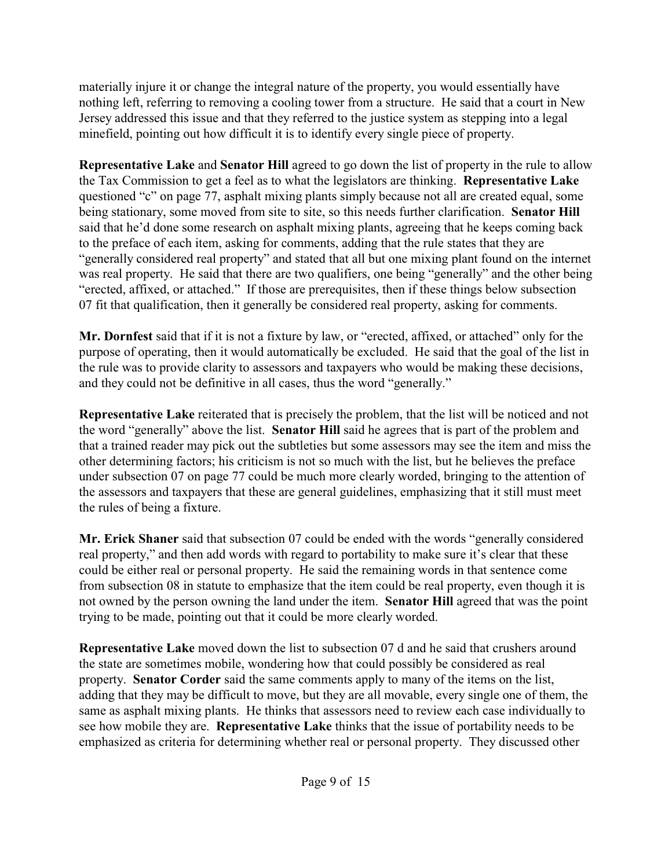materially injure it or change the integral nature of the property, you would essentially have nothing left, referring to removing a cooling tower from a structure. He said that a court in New Jersey addressed this issue and that they referred to the justice system as stepping into a legal minefield, pointing out how difficult it is to identify every single piece of property.

**Representative Lake** and **Senator Hill** agreed to go down the list of property in the rule to allow the Tax Commission to get a feel as to what the legislators are thinking. **Representative Lake** questioned "c" on page 77, asphalt mixing plants simply because not all are created equal, some being stationary, some moved from site to site, so this needs further clarification. **Senator Hill** said that he'd done some research on asphalt mixing plants, agreeing that he keeps coming back to the preface of each item, asking for comments, adding that the rule states that they are "generally considered real property" and stated that all but one mixing plant found on the internet was real property. He said that there are two qualifiers, one being "generally" and the other being "erected, affixed, or attached." If those are prerequisites, then if these things below subsection 07 fit that qualification, then it generally be considered real property, asking for comments.

**Mr. Dornfest** said that if it is not a fixture by law, or "erected, affixed, or attached" only for the purpose of operating, then it would automatically be excluded. He said that the goal of the list in the rule was to provide clarity to assessors and taxpayers who would be making these decisions, and they could not be definitive in all cases, thus the word "generally."

**Representative Lake** reiterated that is precisely the problem, that the list will be noticed and not the word "generally" above the list. **Senator Hill** said he agrees that is part of the problem and that a trained reader may pick out the subtleties but some assessors may see the item and miss the other determining factors; his criticism is not so much with the list, but he believes the preface under subsection 07 on page 77 could be much more clearly worded, bringing to the attention of the assessors and taxpayers that these are general guidelines, emphasizing that it still must meet the rules of being a fixture.

**Mr. Erick Shaner** said that subsection 07 could be ended with the words "generally considered real property," and then add words with regard to portability to make sure it's clear that these could be either real or personal property. He said the remaining words in that sentence come from subsection 08 in statute to emphasize that the item could be real property, even though it is not owned by the person owning the land under the item. **Senator Hill** agreed that was the point trying to be made, pointing out that it could be more clearly worded.

**Representative Lake** moved down the list to subsection 07 d and he said that crushers around the state are sometimes mobile, wondering how that could possibly be considered as real property. **Senator Corder** said the same comments apply to many of the items on the list, adding that they may be difficult to move, but they are all movable, every single one of them, the same as asphalt mixing plants. He thinks that assessors need to review each case individually to see how mobile they are. **Representative Lake** thinks that the issue of portability needs to be emphasized as criteria for determining whether real or personal property. They discussed other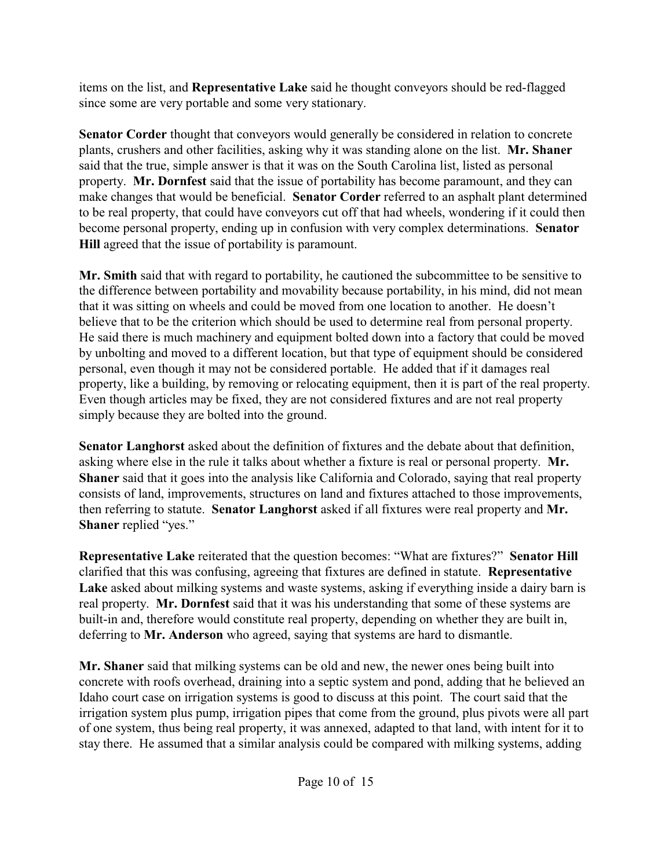items on the list, and **Representative Lake** said he thought conveyors should be red-flagged since some are very portable and some very stationary.

**Senator Corder** thought that conveyors would generally be considered in relation to concrete plants, crushers and other facilities, asking why it was standing alone on the list. **Mr. Shaner** said that the true, simple answer is that it was on the South Carolina list, listed as personal property. **Mr. Dornfest** said that the issue of portability has become paramount, and they can make changes that would be beneficial. **Senator Corder** referred to an asphalt plant determined to be real property, that could have conveyors cut off that had wheels, wondering if it could then become personal property, ending up in confusion with very complex determinations. **Senator Hill** agreed that the issue of portability is paramount.

**Mr. Smith** said that with regard to portability, he cautioned the subcommittee to be sensitive to the difference between portability and movability because portability, in his mind, did not mean that it was sitting on wheels and could be moved from one location to another. He doesn't believe that to be the criterion which should be used to determine real from personal property. He said there is much machinery and equipment bolted down into a factory that could be moved by unbolting and moved to a different location, but that type of equipment should be considered personal, even though it may not be considered portable. He added that if it damages real property, like a building, by removing or relocating equipment, then it is part of the real property. Even though articles may be fixed, they are not considered fixtures and are not real property simply because they are bolted into the ground.

**Senator Langhorst** asked about the definition of fixtures and the debate about that definition, asking where else in the rule it talks about whether a fixture is real or personal property. **Mr. Shaner** said that it goes into the analysis like California and Colorado, saying that real property consists of land, improvements, structures on land and fixtures attached to those improvements, then referring to statute. **Senator Langhorst** asked if all fixtures were real property and **Mr. Shaner** replied "yes."

**Representative Lake** reiterated that the question becomes: "What are fixtures?" **Senator Hill** clarified that this was confusing, agreeing that fixtures are defined in statute. **Representative Lake** asked about milking systems and waste systems, asking if everything inside a dairy barn is real property. **Mr. Dornfest** said that it was his understanding that some of these systems are built-in and, therefore would constitute real property, depending on whether they are built in, deferring to **Mr. Anderson** who agreed, saying that systems are hard to dismantle.

**Mr. Shaner** said that milking systems can be old and new, the newer ones being built into concrete with roofs overhead, draining into a septic system and pond, adding that he believed an Idaho court case on irrigation systems is good to discuss at this point. The court said that the irrigation system plus pump, irrigation pipes that come from the ground, plus pivots were all part of one system, thus being real property, it was annexed, adapted to that land, with intent for it to stay there. He assumed that a similar analysis could be compared with milking systems, adding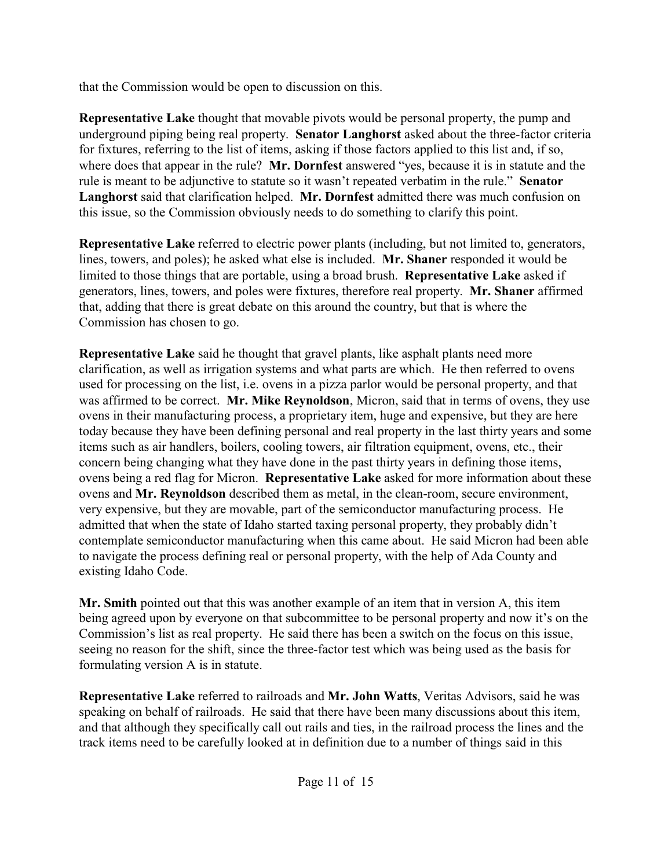that the Commission would be open to discussion on this.

**Representative Lake** thought that movable pivots would be personal property, the pump and underground piping being real property. **Senator Langhorst** asked about the three-factor criteria for fixtures, referring to the list of items, asking if those factors applied to this list and, if so, where does that appear in the rule? **Mr. Dornfest** answered "yes, because it is in statute and the rule is meant to be adjunctive to statute so it wasn't repeated verbatim in the rule." **Senator Langhorst** said that clarification helped. **Mr. Dornfest** admitted there was much confusion on this issue, so the Commission obviously needs to do something to clarify this point.

**Representative Lake** referred to electric power plants (including, but not limited to, generators, lines, towers, and poles); he asked what else is included. **Mr. Shaner** responded it would be limited to those things that are portable, using a broad brush. **Representative Lake** asked if generators, lines, towers, and poles were fixtures, therefore real property. **Mr. Shaner** affirmed that, adding that there is great debate on this around the country, but that is where the Commission has chosen to go.

**Representative Lake** said he thought that gravel plants, like asphalt plants need more clarification, as well as irrigation systems and what parts are which. He then referred to ovens used for processing on the list, i.e. ovens in a pizza parlor would be personal property, and that was affirmed to be correct. **Mr. Mike Reynoldson**, Micron, said that in terms of ovens, they use ovens in their manufacturing process, a proprietary item, huge and expensive, but they are here today because they have been defining personal and real property in the last thirty years and some items such as air handlers, boilers, cooling towers, air filtration equipment, ovens, etc., their concern being changing what they have done in the past thirty years in defining those items, ovens being a red flag for Micron. **Representative Lake** asked for more information about these ovens and **Mr. Reynoldson** described them as metal, in the clean-room, secure environment, very expensive, but they are movable, part of the semiconductor manufacturing process. He admitted that when the state of Idaho started taxing personal property, they probably didn't contemplate semiconductor manufacturing when this came about. He said Micron had been able to navigate the process defining real or personal property, with the help of Ada County and existing Idaho Code.

**Mr. Smith** pointed out that this was another example of an item that in version A, this item being agreed upon by everyone on that subcommittee to be personal property and now it's on the Commission's list as real property. He said there has been a switch on the focus on this issue, seeing no reason for the shift, since the three-factor test which was being used as the basis for formulating version A is in statute.

**Representative Lake** referred to railroads and **Mr. John Watts**, Veritas Advisors, said he was speaking on behalf of railroads. He said that there have been many discussions about this item, and that although they specifically call out rails and ties, in the railroad process the lines and the track items need to be carefully looked at in definition due to a number of things said in this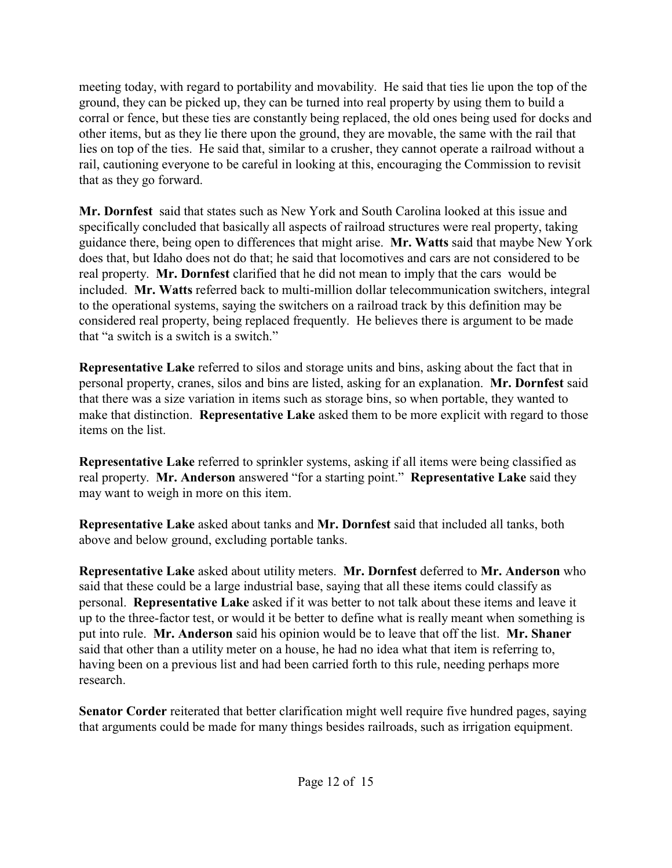meeting today, with regard to portability and movability. He said that ties lie upon the top of the ground, they can be picked up, they can be turned into real property by using them to build a corral or fence, but these ties are constantly being replaced, the old ones being used for docks and other items, but as they lie there upon the ground, they are movable, the same with the rail that lies on top of the ties. He said that, similar to a crusher, they cannot operate a railroad without a rail, cautioning everyone to be careful in looking at this, encouraging the Commission to revisit that as they go forward.

**Mr. Dornfest** said that states such as New York and South Carolina looked at this issue and specifically concluded that basically all aspects of railroad structures were real property, taking guidance there, being open to differences that might arise. **Mr. Watts** said that maybe New York does that, but Idaho does not do that; he said that locomotives and cars are not considered to be real property. **Mr. Dornfest** clarified that he did not mean to imply that the cars would be included. **Mr. Watts** referred back to multi-million dollar telecommunication switchers, integral to the operational systems, saying the switchers on a railroad track by this definition may be considered real property, being replaced frequently. He believes there is argument to be made that "a switch is a switch is a switch."

**Representative Lake** referred to silos and storage units and bins, asking about the fact that in personal property, cranes, silos and bins are listed, asking for an explanation. **Mr. Dornfest** said that there was a size variation in items such as storage bins, so when portable, they wanted to make that distinction. **Representative Lake** asked them to be more explicit with regard to those items on the list.

**Representative Lake** referred to sprinkler systems, asking if all items were being classified as real property. **Mr. Anderson** answered "for a starting point." **Representative Lake** said they may want to weigh in more on this item.

**Representative Lake** asked about tanks and **Mr. Dornfest** said that included all tanks, both above and below ground, excluding portable tanks.

**Representative Lake** asked about utility meters. **Mr. Dornfest** deferred to **Mr. Anderson** who said that these could be a large industrial base, saying that all these items could classify as personal. **Representative Lake** asked if it was better to not talk about these items and leave it up to the three-factor test, or would it be better to define what is really meant when something is put into rule. **Mr. Anderson** said his opinion would be to leave that off the list. **Mr. Shaner** said that other than a utility meter on a house, he had no idea what that item is referring to, having been on a previous list and had been carried forth to this rule, needing perhaps more research.

**Senator Corder** reiterated that better clarification might well require five hundred pages, saying that arguments could be made for many things besides railroads, such as irrigation equipment.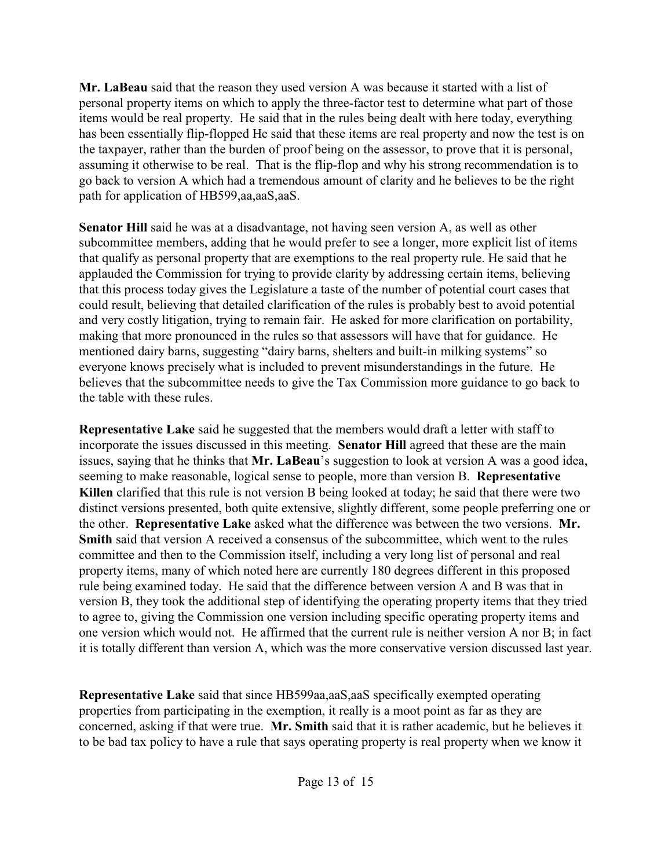**Mr. LaBeau** said that the reason they used version A was because it started with a list of personal property items on which to apply the three-factor test to determine what part of those items would be real property. He said that in the rules being dealt with here today, everything has been essentially flip-flopped He said that these items are real property and now the test is on the taxpayer, rather than the burden of proof being on the assessor, to prove that it is personal, assuming it otherwise to be real. That is the flip-flop and why his strong recommendation is to go back to version A which had a tremendous amount of clarity and he believes to be the right path for application of HB599,aa,aaS,aaS.

**Senator Hill** said he was at a disadvantage, not having seen version A, as well as other subcommittee members, adding that he would prefer to see a longer, more explicit list of items that qualify as personal property that are exemptions to the real property rule. He said that he applauded the Commission for trying to provide clarity by addressing certain items, believing that this process today gives the Legislature a taste of the number of potential court cases that could result, believing that detailed clarification of the rules is probably best to avoid potential and very costly litigation, trying to remain fair. He asked for more clarification on portability, making that more pronounced in the rules so that assessors will have that for guidance. He mentioned dairy barns, suggesting "dairy barns, shelters and built-in milking systems" so everyone knows precisely what is included to prevent misunderstandings in the future. He believes that the subcommittee needs to give the Tax Commission more guidance to go back to the table with these rules.

**Representative Lake** said he suggested that the members would draft a letter with staff to incorporate the issues discussed in this meeting. **Senator Hill** agreed that these are the main issues, saying that he thinks that **Mr. LaBeau**'s suggestion to look at version A was a good idea, seeming to make reasonable, logical sense to people, more than version B. **Representative Killen** clarified that this rule is not version B being looked at today; he said that there were two distinct versions presented, both quite extensive, slightly different, some people preferring one or the other. **Representative Lake** asked what the difference was between the two versions. **Mr. Smith** said that version A received a consensus of the subcommittee, which went to the rules committee and then to the Commission itself, including a very long list of personal and real property items, many of which noted here are currently 180 degrees different in this proposed rule being examined today. He said that the difference between version A and B was that in version B, they took the additional step of identifying the operating property items that they tried to agree to, giving the Commission one version including specific operating property items and one version which would not. He affirmed that the current rule is neither version A nor B; in fact it is totally different than version A, which was the more conservative version discussed last year.

**Representative Lake** said that since HB599aa,aaS,aaS specifically exempted operating properties from participating in the exemption, it really is a moot point as far as they are concerned, asking if that were true. **Mr. Smith** said that it is rather academic, but he believes it to be bad tax policy to have a rule that says operating property is real property when we know it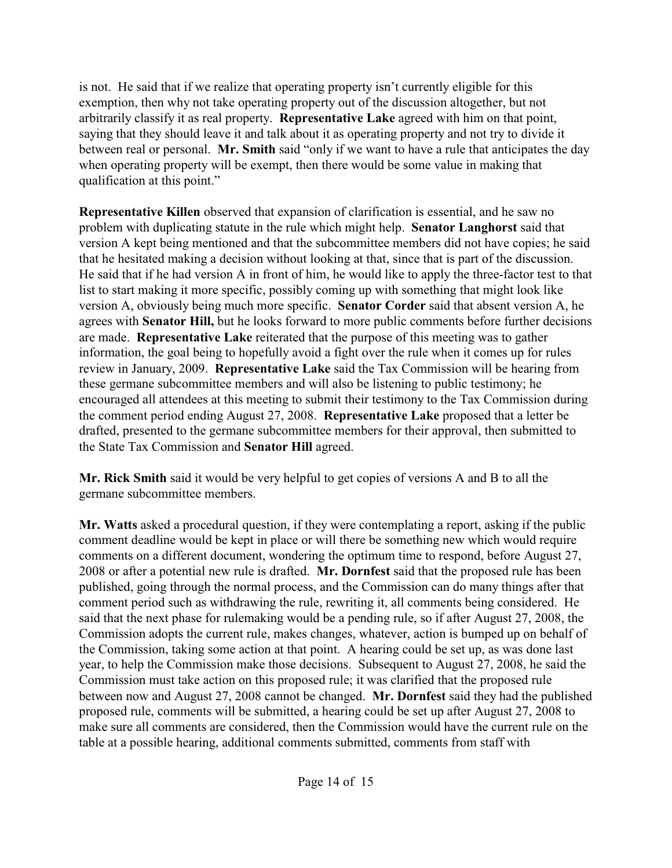is not. He said that if we realize that operating property isn't currently eligible for this exemption, then why not take operating property out of the discussion altogether, but not arbitrarily classify it as real property. **Representative Lake** agreed with him on that point, saying that they should leave it and talk about it as operating property and not try to divide it between real or personal. **Mr. Smith** said "only if we want to have a rule that anticipates the day when operating property will be exempt, then there would be some value in making that qualification at this point."

**Representative Killen** observed that expansion of clarification is essential, and he saw no problem with duplicating statute in the rule which might help. **Senator Langhorst** said that version A kept being mentioned and that the subcommittee members did not have copies; he said that he hesitated making a decision without looking at that, since that is part of the discussion. He said that if he had version A in front of him, he would like to apply the three-factor test to that list to start making it more specific, possibly coming up with something that might look like version A, obviously being much more specific. **Senator Corder** said that absent version A, he agrees with **Senator Hill,** but he looks forward to more public comments before further decisions are made. **Representative Lake** reiterated that the purpose of this meeting was to gather information, the goal being to hopefully avoid a fight over the rule when it comes up for rules review in January, 2009. **Representative Lake** said the Tax Commission will be hearing from these germane subcommittee members and will also be listening to public testimony; he encouraged all attendees at this meeting to submit their testimony to the Tax Commission during the comment period ending August 27, 2008. **Representative Lake** proposed that a letter be drafted, presented to the germane subcommittee members for their approval, then submitted to the State Tax Commission and **Senator Hill** agreed.

**Mr. Rick Smith** said it would be very helpful to get copies of versions A and B to all the germane subcommittee members.

**Mr. Watts** asked a procedural question, if they were contemplating a report, asking if the public comment deadline would be kept in place or will there be something new which would require comments on a different document, wondering the optimum time to respond, before August 27, 2008 or after a potential new rule is drafted. **Mr. Dornfest** said that the proposed rule has been published, going through the normal process, and the Commission can do many things after that comment period such as withdrawing the rule, rewriting it, all comments being considered. He said that the next phase for rulemaking would be a pending rule, so if after August 27, 2008, the Commission adopts the current rule, makes changes, whatever, action is bumped up on behalf of the Commission, taking some action at that point. A hearing could be set up, as was done last year, to help the Commission make those decisions. Subsequent to August 27, 2008, he said the Commission must take action on this proposed rule; it was clarified that the proposed rule between now and August 27, 2008 cannot be changed. **Mr. Dornfest** said they had the published proposed rule, comments will be submitted, a hearing could be set up after August 27, 2008 to make sure all comments are considered, then the Commission would have the current rule on the table at a possible hearing, additional comments submitted, comments from staff with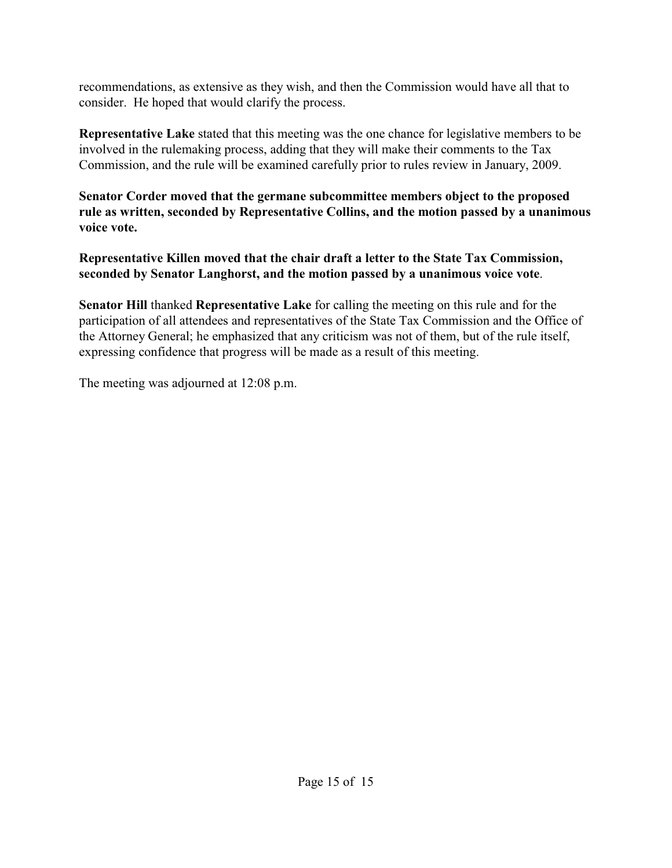recommendations, as extensive as they wish, and then the Commission would have all that to consider. He hoped that would clarify the process.

**Representative Lake** stated that this meeting was the one chance for legislative members to be involved in the rulemaking process, adding that they will make their comments to the Tax Commission, and the rule will be examined carefully prior to rules review in January, 2009.

**Senator Corder moved that the germane subcommittee members object to the proposed rule as written, seconded by Representative Collins, and the motion passed by a unanimous voice vote.** 

**Representative Killen moved that the chair draft a letter to the State Tax Commission, seconded by Senator Langhorst, and the motion passed by a unanimous voice vote**.

**Senator Hill** thanked **Representative Lake** for calling the meeting on this rule and for the participation of all attendees and representatives of the State Tax Commission and the Office of the Attorney General; he emphasized that any criticism was not of them, but of the rule itself, expressing confidence that progress will be made as a result of this meeting.

The meeting was adjourned at 12:08 p.m.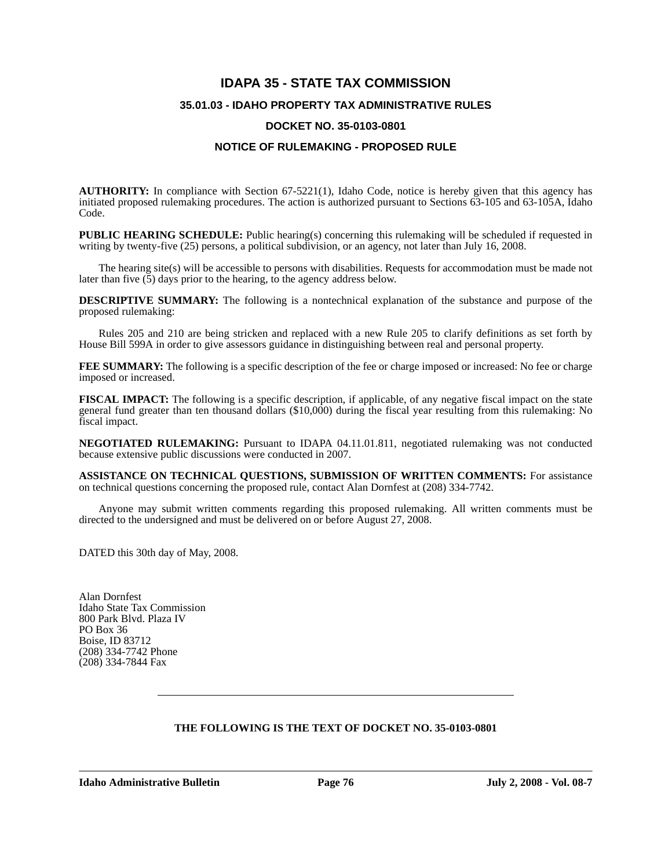# **IDAPA 35 - STATE TAX COMMISSION 35.01.03 - IDAHO PROPERTY TAX ADMINISTRATIVE RULES**

### **DOCKET NO. 35-0103-0801**

# **NOTICE OF RULEMAKING - PROPOSED RULE**

**AUTHORITY:** In compliance with Section 67-5221(1), Idaho Code, notice is hereby given that this agency has initiated proposed rulemaking procedures. The action is authorized pursuant to Sections 63-105 and 63-105A, Idaho Code.

**PUBLIC HEARING SCHEDULE:** Public hearing(s) concerning this rulemaking will be scheduled if requested in writing by twenty-five (25) persons, a political subdivision, or an agency, not later than July 16, 2008.

The hearing site(s) will be accessible to persons with disabilities. Requests for accommodation must be made not later than five  $(5)$  days prior to the hearing, to the agency address below.

**DESCRIPTIVE SUMMARY:** The following is a nontechnical explanation of the substance and purpose of the proposed rulemaking:

Rules 205 and 210 are being stricken and replaced with a new Rule 205 to clarify definitions as set forth by House Bill 599A in order to give assessors guidance in distinguishing between real and personal property.

**FEE SUMMARY:** The following is a specific description of the fee or charge imposed or increased: No fee or charge imposed or increased.

**FISCAL IMPACT:** The following is a specific description, if applicable, of any negative fiscal impact on the state general fund greater than ten thousand dollars (\$10,000) during the fiscal year resulting from this rulemaking: No fiscal impact.

**NEGOTIATED RULEMAKING:** Pursuant to IDAPA 04.11.01.811, negotiated rulemaking was not conducted because extensive public discussions were conducted in 2007.

**ASSISTANCE ON TECHNICAL QUESTIONS, SUBMISSION OF WRITTEN COMMENTS:** For assistance on technical questions concerning the proposed rule, contact Alan Dornfest at (208) 334-7742.

Anyone may submit written comments regarding this proposed rulemaking. All written comments must be directed to the undersigned and must be delivered on or before August 27, 2008.

DATED this 30th day of May, 2008.

Alan Dornfest Idaho State Tax Commission 800 Park Blvd. Plaza IV PO Box 36 Boise, ID 83712 (208) 334-7742 Phone (208) 334-7844 Fax

# **THE FOLLOWING IS THE TEXT OF DOCKET NO. 35-0103-0801**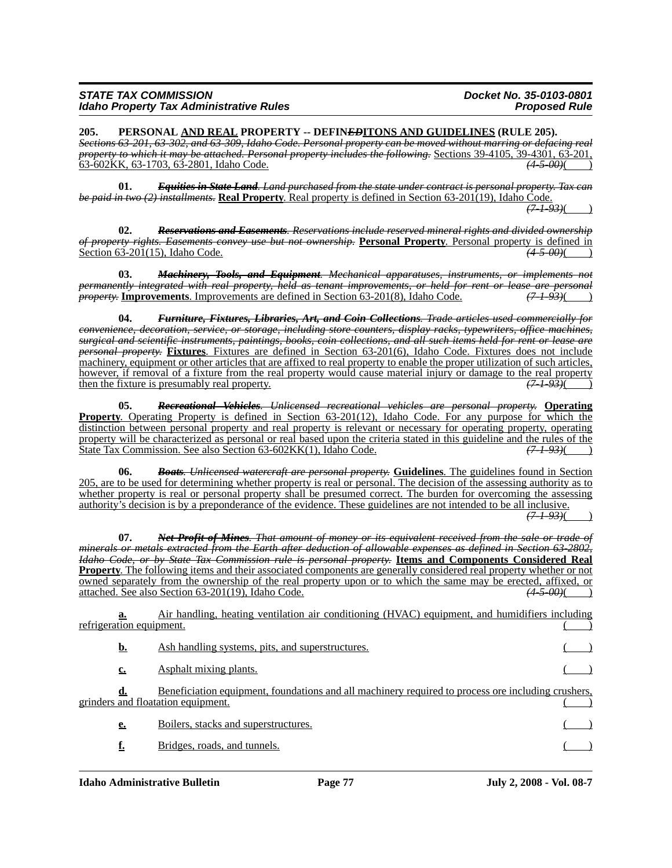| <b>STATE TAX COMMISSION</b> |                                                |  |  |  |
|-----------------------------|------------------------------------------------|--|--|--|
|                             | <b>Idaho Property Tax Administrative Rules</b> |  |  |  |

**205. PERSONAL AND REAL PROPERTY -- DEFIN***ED***ITONS AND GUIDELINES (RULE 205).** *Sections 63-201, 63-302, and 63-309, Idaho Code. Personal property can be moved without marring or defacing real property to which it may be attached. Personal property includes the following.* Sections 39-4105, 39-4301, 63-201, 63-602KK, 63-1703, 63-2801, Idaho Code. *(4-5-00)*( )

**01.** *Equities in State Land. Land purchased from the state under contract is personal property. Tax can be paid in two (2) installments.* **Real Property**. Real property is defined in Section 63-201(19), Idaho Code.

*(7-1-93)*( )

**02.** *Reservations and Easements. Reservations include reserved mineral rights and divided ownership of property rights. Easements convey use but not ownership.* **Personal Property**. Personal property is defined in Section 63-201(15), Idaho Code.

**03.** *Machinery, Tools, and Equipment. Mechanical apparatuses, instruments, or implements not permanently integrated with real property, held as tenant improvements, or held for rent or lease are personal property. Improvements are defined in Section 63-201(8), Idaho Code.* (7-1-93)(9) *property.* **Improvements**. Improvements are defined in Section 63-201(8), Idaho Code.

**04.** *Furniture, Fixtures, Libraries, Art, and Coin Collections. Trade articles used commercially for convenience, decoration, service, or storage, including store counters, display racks, typewriters, office machines, surgical and scientific instruments, paintings, books, coin collections, and all such items held for rent or lease are personal property.* **Fixtures**. Fixtures are defined in Section 63-201(6), Idaho Code. Fixtures does not include machinery, equipment or other articles that are affixed to real property to enable the proper utilization of such articles, however, if removal of a fixture from the real property would cause material injury or damage to the real property then the fixture is presumably real property. then the fixture is presumably real property.

**05.** *Recreational Vehicles. Unlicensed recreational vehicles are personal property.* **Operating Property**. Operating Property is defined in Section 63-201(12), Idaho Code. For any purpose for which the distinction between personal property and real property is relevant or necessary for operating property, operating property will be characterized as personal or real based upon the criteria stated in this guideline and the rules of the State Tax Commission. See also Section 63-602KK(1), Idaho Code.  $(7-1-93)($ State Tax Commission. See also Section 63-602KK(1), Idaho Code.

**06.** *Boats. Unlicensed watercraft are personal property.* **Guidelines**. The guidelines found in Section 205, are to be used for determining whether property is real or personal. The decision of the assessing authority as to whether property is real or personal property shall be presumed correct. The burden for overcoming the assessing authority's decision is by a preponderance of the evidence. These guidelines are not intended to be all inclusive.

*(7-1-93)*( )

**07.** *Net Profit of Mines. That amount of money or its equivalent received from the sale or trade of minerals or metals extracted from the Earth after deduction of allowable expenses as defined in Section 63-2802, Idaho Code, or by State Tax Commission rule is personal property.* **Items and Components Considered Real Property**. The following items and their associated components are generally considered real property whether or not owned separately from the ownership of the real property upon or to which the same may be erected, affixed, or attached. See also Section 63-201(19), Idaho Code. *(4-5-00)*( )

**a.** Air handling, heating ventilation air conditioning (HVAC) equipment, and humidifiers including refrigeration equipment.

| <u>b.</u> | Ash handling systems, pits, and superstructures.                                                                                                |  |
|-----------|-------------------------------------------------------------------------------------------------------------------------------------------------|--|
| c.        | <b>Asphalt mixing plants.</b>                                                                                                                   |  |
|           | Beneficiation equipment, foundations and all machinery required to process ore including crushers,<br><u>erinders and floatation equipment.</u> |  |
| <u>e.</u> | Boilers, stacks and superstructures.                                                                                                            |  |
|           | Bridges, roads, and tunnels.                                                                                                                    |  |
|           |                                                                                                                                                 |  |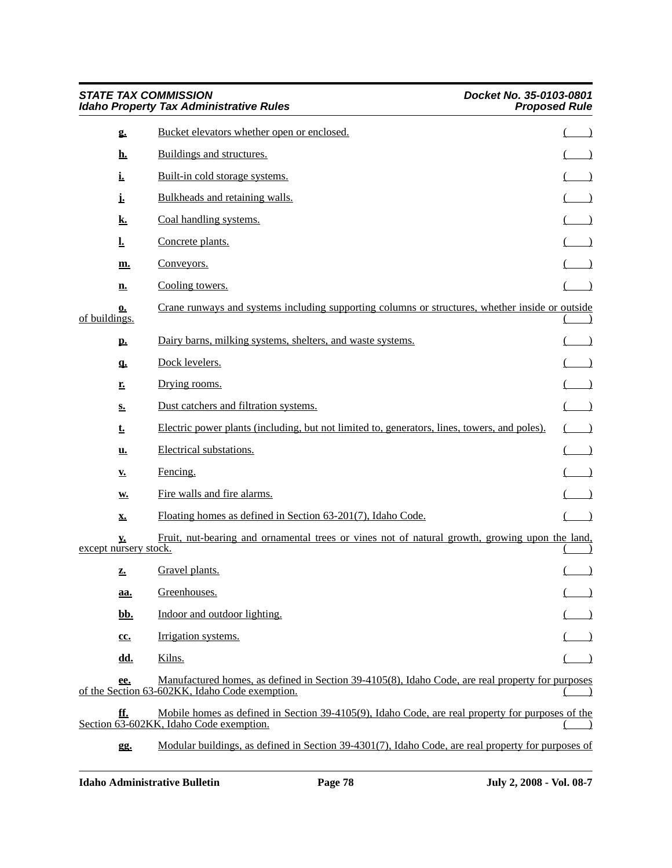| <b>STATE TAX COMMISSION</b><br><b>Idaho Property Tax Administrative Rules</b> |                                                                                                                                                    | Docket No. 35-0103-0801<br><b>Proposed Rule</b> |  |
|-------------------------------------------------------------------------------|----------------------------------------------------------------------------------------------------------------------------------------------------|-------------------------------------------------|--|
| 2.                                                                            | Bucket elevators whether open or enclosed.                                                                                                         |                                                 |  |
| <u>h.</u>                                                                     | Buildings and structures.                                                                                                                          |                                                 |  |
| <u>i.</u>                                                                     | Built-in cold storage systems.                                                                                                                     |                                                 |  |
| i,                                                                            | Bulkheads and retaining walls.                                                                                                                     |                                                 |  |
| <u>k.</u>                                                                     | Coal handling systems.                                                                                                                             |                                                 |  |
| <u>l.</u>                                                                     | Concrete plants.                                                                                                                                   |                                                 |  |
| <u>m.</u>                                                                     | Conveyors.                                                                                                                                         |                                                 |  |
| <u>n.</u>                                                                     | Cooling towers.                                                                                                                                    |                                                 |  |
| <u>0.</u><br>of buildings.                                                    | Crane runways and systems including supporting columns or structures, whether inside or outside                                                    |                                                 |  |
| <u>p.</u>                                                                     | Dairy barns, milking systems, shelters, and waste systems.                                                                                         |                                                 |  |
| q.                                                                            | Dock levelers.                                                                                                                                     |                                                 |  |
| <u>r.</u>                                                                     | Drying rooms.                                                                                                                                      |                                                 |  |
| s.                                                                            | Dust catchers and filtration systems.                                                                                                              |                                                 |  |
| t.                                                                            | Electric power plants (including, but not limited to, generators, lines, towers, and poles).                                                       |                                                 |  |
| <u>u.</u>                                                                     | Electrical substations.                                                                                                                            |                                                 |  |
| $Y_{\bullet}$                                                                 | Fencing.                                                                                                                                           |                                                 |  |
| W.                                                                            | Fire walls and fire alarms.                                                                                                                        |                                                 |  |
| <u>x.</u>                                                                     | Floating homes as defined in Section 63-201(7), Idaho Code.                                                                                        |                                                 |  |
| <u>v.</u><br>except nursery stock.                                            | Fruit, nut-bearing and ornamental trees or vines not of natural growth, growing upon the land,                                                     |                                                 |  |
| Z.                                                                            | Gravel plants.                                                                                                                                     |                                                 |  |
| <u>aa.</u>                                                                    | Greenhouses.                                                                                                                                       |                                                 |  |
| <u>bb.</u>                                                                    | Indoor and outdoor lighting.                                                                                                                       |                                                 |  |
| cc.                                                                           | Irrigation systems.                                                                                                                                |                                                 |  |
| dd.                                                                           | Kilns.                                                                                                                                             |                                                 |  |
| ee.                                                                           | Manufactured homes, as defined in Section 39-4105(8), Idaho Code, are real property for purposes<br>of the Section 63-602KK, Idaho Code exemption. |                                                 |  |
| ff.                                                                           | Mobile homes as defined in Section 39-4105(9), Idaho Code, are real property for purposes of the<br>Section 63-602KK, Idaho Code exemption.        |                                                 |  |
| gg.                                                                           | Modular buildings, as defined in Section 39-4301(7), Idaho Code, are real property for purposes of                                                 |                                                 |  |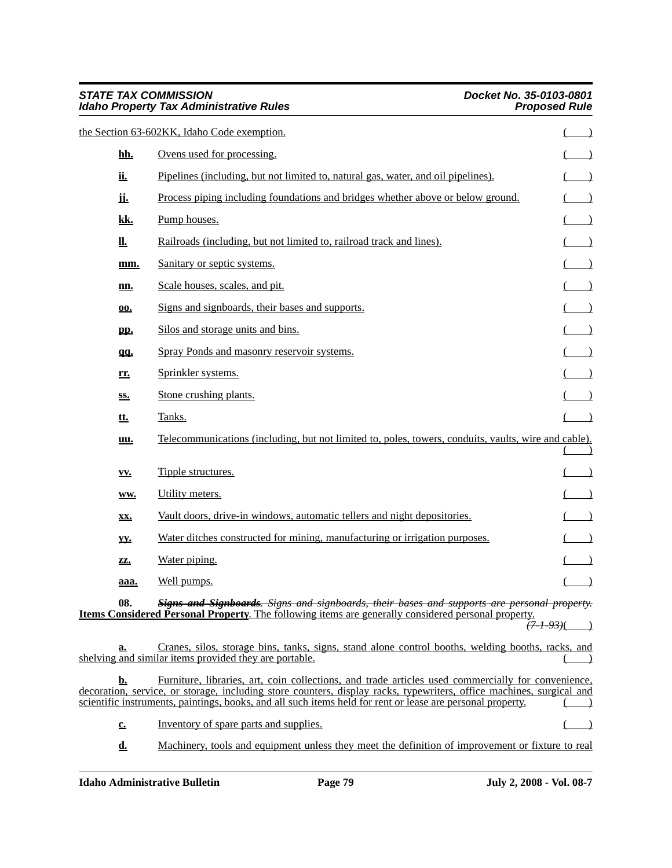| <b>STATE TAX COMMISSION</b> | <b>Idaho Property Tax Administrative Rules</b>                                                                                                                                                                                                                                                                                           | Docket No. 35-0103-0801<br><b>Proposed Rule</b> |
|-----------------------------|------------------------------------------------------------------------------------------------------------------------------------------------------------------------------------------------------------------------------------------------------------------------------------------------------------------------------------------|-------------------------------------------------|
|                             | the Section 63-602KK, Idaho Code exemption.                                                                                                                                                                                                                                                                                              |                                                 |
| <u>hh.</u>                  | Ovens used for processing.                                                                                                                                                                                                                                                                                                               |                                                 |
| <u>ii.</u>                  | Pipelines (including, but not limited to, natural gas, water, and oil pipelines).                                                                                                                                                                                                                                                        |                                                 |
| ji.                         | Process piping including foundations and bridges whether above or below ground.                                                                                                                                                                                                                                                          |                                                 |
| kk.                         | Pump houses.                                                                                                                                                                                                                                                                                                                             |                                                 |
| <u>ll.</u>                  | Railroads (including, but not limited to, railroad track and lines).                                                                                                                                                                                                                                                                     |                                                 |
| mm.                         | Sanitary or septic systems.                                                                                                                                                                                                                                                                                                              |                                                 |
| nn.                         | Scale houses, scales, and pit.                                                                                                                                                                                                                                                                                                           |                                                 |
| 00.                         | Signs and signboards, their bases and supports.                                                                                                                                                                                                                                                                                          |                                                 |
| pp.                         | Silos and storage units and bins.                                                                                                                                                                                                                                                                                                        |                                                 |
| <u>qq.</u>                  | Spray Ponds and masonry reservoir systems.                                                                                                                                                                                                                                                                                               |                                                 |
| <u>rr.</u>                  | Sprinkler systems.                                                                                                                                                                                                                                                                                                                       |                                                 |
| SS.                         | Stone crushing plants.                                                                                                                                                                                                                                                                                                                   |                                                 |
| <u>tt.</u>                  | Tanks.                                                                                                                                                                                                                                                                                                                                   |                                                 |
| uu.                         | Telecommunications (including, but not limited to, poles, towers, conduits, vaults, wire and cable).                                                                                                                                                                                                                                     |                                                 |
| <b>YV.</b>                  | Tipple structures.                                                                                                                                                                                                                                                                                                                       |                                                 |
| WW.                         | Utility meters.                                                                                                                                                                                                                                                                                                                          |                                                 |
| <u>xx.</u>                  | Vault doors, drive-in windows, automatic tellers and night depositories.                                                                                                                                                                                                                                                                 |                                                 |
| yy.                         | Water ditches constructed for mining, manufacturing or irrigation purposes.                                                                                                                                                                                                                                                              |                                                 |
| ZZ.                         | Water piping.                                                                                                                                                                                                                                                                                                                            |                                                 |
| aaa.                        | Well pumps.                                                                                                                                                                                                                                                                                                                              | $\qquad \qquad$                                 |
| 08.                         | <b>Signs and Signboards.</b> Signs and signboards, their bases and supports are personal property.<br><b>Items Considered Personal Property.</b> The following items are generally considered personal property.                                                                                                                         | <del>(7-1-93)</del> (                           |
| a.                          | Cranes, silos, storage bins, tanks, signs, stand alone control booths, welding booths, racks, and<br>shelving and similar items provided they are portable.                                                                                                                                                                              |                                                 |
| <u>b.</u>                   | Furniture, libraries, art, coin collections, and trade articles used commercially for convenience,<br>decoration, service, or storage, including store counters, display racks, typewriters, office machines, surgical and<br>scientific instruments, paintings, books, and all such items held for rent or lease are personal property. |                                                 |
| $c_{\cdot}$                 | Inventory of spare parts and supplies.                                                                                                                                                                                                                                                                                                   |                                                 |
| <u>d.</u>                   | Machinery, tools and equipment unless they meet the definition of improvement or fixture to real                                                                                                                                                                                                                                         |                                                 |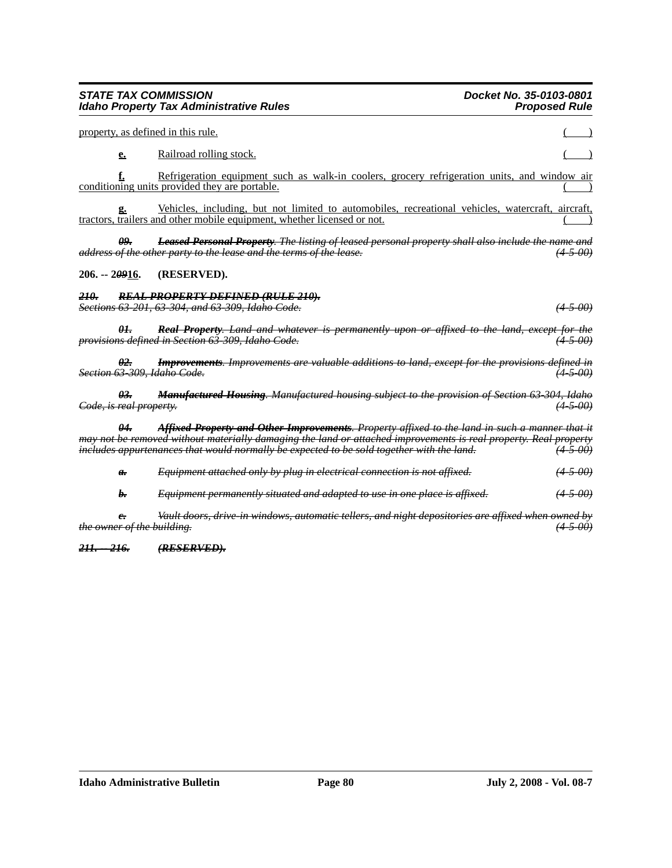*the owner of the building. (4-5-00)*

*211. -- 216. (RESERVED).*

### *210. REAL PROPERTY DEFINED (RULE 210). Sections 63-201, 63-304, and 63-309, Idaho Code. (4-5-00)*

**206. -- 2***09***16. (RESERVED).**

property, as defined in this rule.

*01. Real Property. Land and whatever is permanently upon or affixed to the land, except for the provisions defined in Section 63-309, Idaho Code. (4-5-00)*

*02. Improvements. Improvements are valuable additions to land, except for the provisions defined in Section 63-309, Idaho Code. (4-5-00)*

*04. Affixed Property and Other Improvements. Property affixed to the land in such a manner that it* 

*may not be removed without materially damaging the land or attached improvements is real property. Real property includes appurtenances that would normally be expected to be sold together with the land.* 

*a. Equipment attached only by plug in electrical connection is not affixed. (4-5-00)*

*b. Equipment permanently situated and adapted to use in one place is affixed. (4-5-00)*

*c. Vault doors, drive-in windows, automatic tellers, and night depositories are affixed when owned by* 

*03. Manufactured Housing. Manufactured housing subject to the provision of Section 63-304, Idaho Code, is real property.* 

**e.** Railroad rolling stock.

**f.** Refrigeration equipment such as walk-in coolers, grocery refrigeration units, and window air conditioning units provided they are portable.

**g.** Vehicles, including, but not limited to automobiles, recreational vehicles, watercraft, aircraft, tractors, trailers and other mobile equipment, whether licensed or not.

*09. Leased Personal Property. The listing of leased personal property shall also include the name and address of the other party to the lease and the terms of the lease.* 

# **STATE TAX COMMISSION Docket No. 35-0103-0801 Idaho Property Tax Administrative Rules**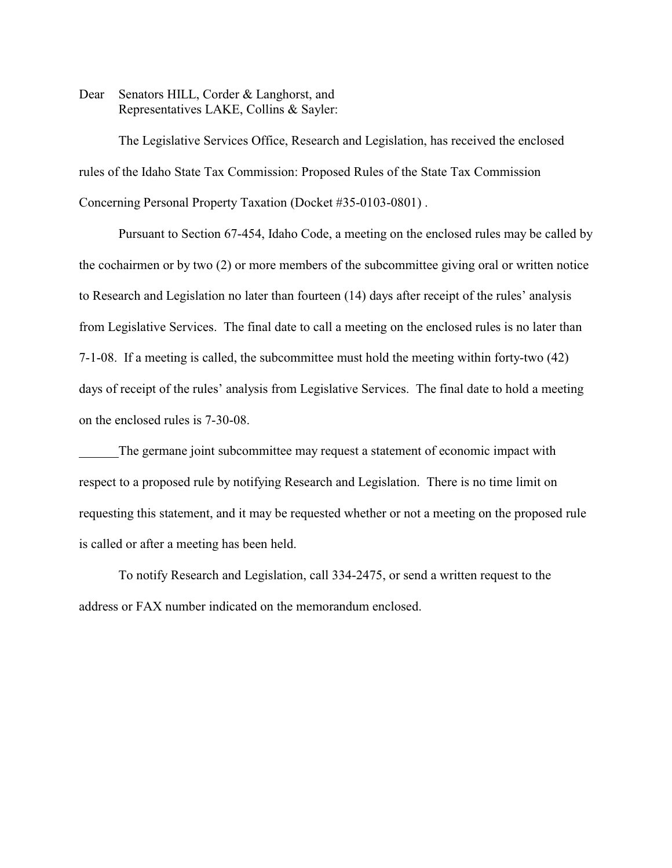Dear Senators HILL, Corder & Langhorst, and Representatives LAKE, Collins & Sayler:

The Legislative Services Office, Research and Legislation, has received the enclosed rules of the Idaho State Tax Commission: Proposed Rules of the State Tax Commission Concerning Personal Property Taxation (Docket #35-0103-0801) .

Pursuant to Section 67-454, Idaho Code, a meeting on the enclosed rules may be called by the cochairmen or by two (2) or more members of the subcommittee giving oral or written notice to Research and Legislation no later than fourteen (14) days after receipt of the rules' analysis from Legislative Services. The final date to call a meeting on the enclosed rules is no later than 7-1-08. If a meeting is called, the subcommittee must hold the meeting within forty-two (42) days of receipt of the rules' analysis from Legislative Services. The final date to hold a meeting on the enclosed rules is 7-30-08.

The germane joint subcommittee may request a statement of economic impact with respect to a proposed rule by notifying Research and Legislation. There is no time limit on requesting this statement, and it may be requested whether or not a meeting on the proposed rule is called or after a meeting has been held.

To notify Research and Legislation, call 334-2475, or send a written request to the address or FAX number indicated on the memorandum enclosed.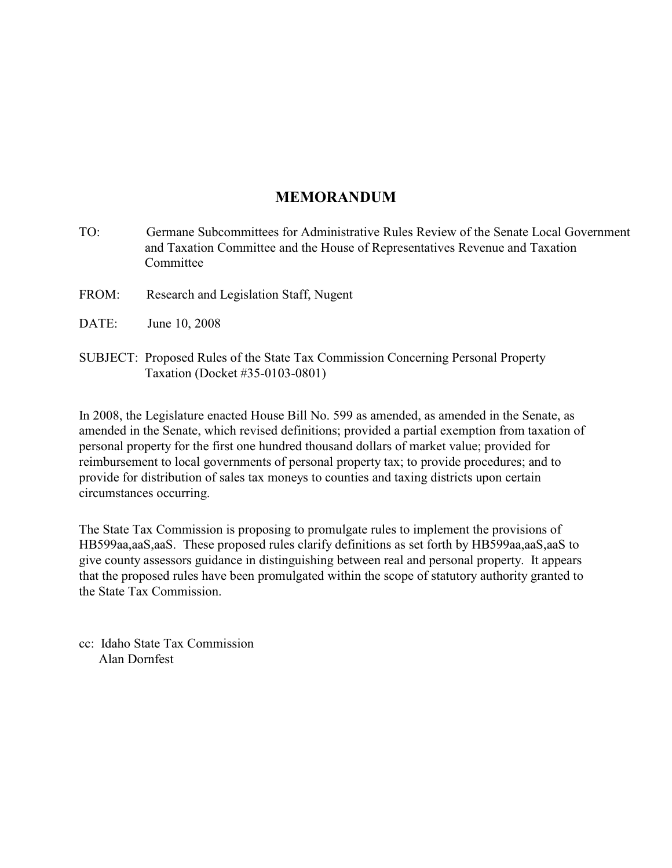# **MEMORANDUM**

- TO: Germane Subcommittees for Administrative Rules Review of the Senate Local Government and Taxation Committee and the House of Representatives Revenue and Taxation **Committee**
- FROM: Research and Legislation Staff, Nugent
- DATE: June 10, 2008
- SUBJECT: Proposed Rules of the State Tax Commission Concerning Personal Property Taxation (Docket #35-0103-0801)

In 2008, the Legislature enacted House Bill No. 599 as amended, as amended in the Senate, as amended in the Senate, which revised definitions; provided a partial exemption from taxation of personal property for the first one hundred thousand dollars of market value; provided for reimbursement to local governments of personal property tax; to provide procedures; and to provide for distribution of sales tax moneys to counties and taxing districts upon certain circumstances occurring.

The State Tax Commission is proposing to promulgate rules to implement the provisions of HB599aa,aaS,aaS. These proposed rules clarify definitions as set forth by HB599aa,aaS,aaS to give county assessors guidance in distinguishing between real and personal property. It appears that the proposed rules have been promulgated within the scope of statutory authority granted to the State Tax Commission.

cc: Idaho State Tax Commission Alan Dornfest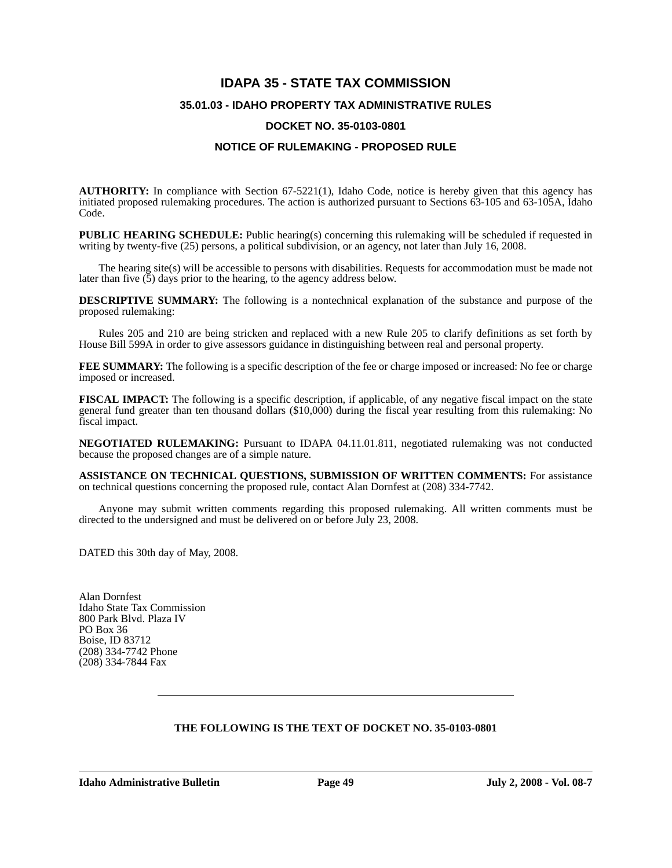# **IDAPA 35 - STATE TAX COMMISSION 35.01.03 - IDAHO PROPERTY TAX ADMINISTRATIVE RULES**

# **DOCKET NO. 35-0103-0801**

# **NOTICE OF RULEMAKING - PROPOSED RULE**

**AUTHORITY:** In compliance with Section 67-5221(1), Idaho Code, notice is hereby given that this agency has initiated proposed rulemaking procedures. The action is authorized pursuant to Sections 63-105 and 63-105A, Idaho Code.

**PUBLIC HEARING SCHEDULE:** Public hearing(s) concerning this rulemaking will be scheduled if requested in writing by twenty-five (25) persons, a political subdivision, or an agency, not later than July 16, 2008.

The hearing site(s) will be accessible to persons with disabilities. Requests for accommodation must be made not later than five  $(5)$  days prior to the hearing, to the agency address below.

**DESCRIPTIVE SUMMARY:** The following is a nontechnical explanation of the substance and purpose of the proposed rulemaking:

Rules 205 and 210 are being stricken and replaced with a new Rule 205 to clarify definitions as set forth by House Bill 599A in order to give assessors guidance in distinguishing between real and personal property.

**FEE SUMMARY:** The following is a specific description of the fee or charge imposed or increased: No fee or charge imposed or increased.

**FISCAL IMPACT:** The following is a specific description, if applicable, of any negative fiscal impact on the state general fund greater than ten thousand dollars (\$10,000) during the fiscal year resulting from this rulemaking: No fiscal impact.

**NEGOTIATED RULEMAKING:** Pursuant to IDAPA 04.11.01.811, negotiated rulemaking was not conducted because the proposed changes are of a simple nature.

**ASSISTANCE ON TECHNICAL QUESTIONS, SUBMISSION OF WRITTEN COMMENTS:** For assistance on technical questions concerning the proposed rule, contact Alan Dornfest at (208) 334-7742.

Anyone may submit written comments regarding this proposed rulemaking. All written comments must be directed to the undersigned and must be delivered on or before July 23, 2008.

DATED this 30th day of May, 2008.

Alan Dornfest Idaho State Tax Commission 800 Park Blvd. Plaza IV PO Box 36 Boise, ID 83712 (208) 334-7742 Phone (208) 334-7844 Fax

### **THE FOLLOWING IS THE TEXT OF DOCKET NO. 35-0103-0801**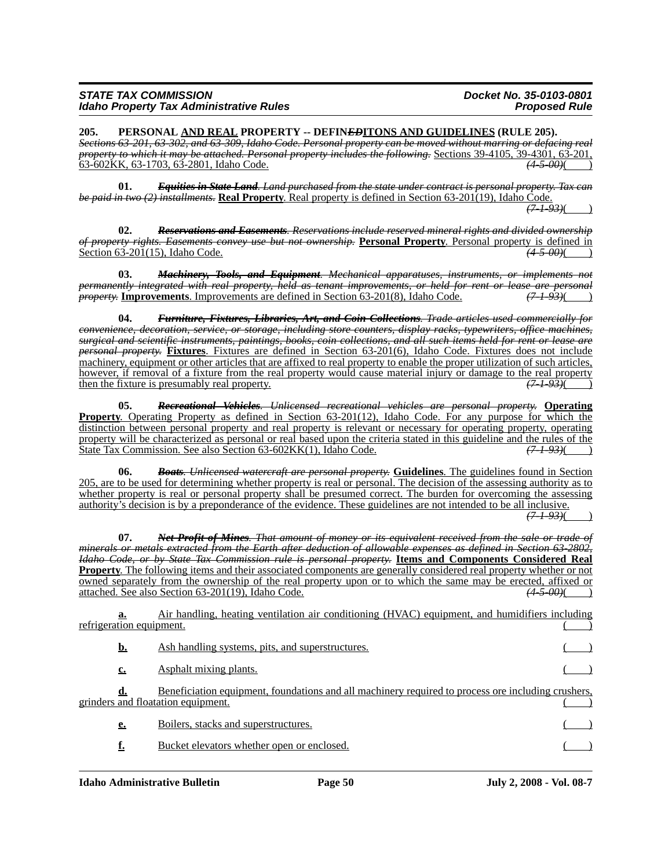| <b>STATE TAX COMMISSION</b> |                                                |  |  |  |
|-----------------------------|------------------------------------------------|--|--|--|
|                             | <b>Idaho Property Tax Administrative Rules</b> |  |  |  |

**205. PERSONAL AND REAL PROPERTY -- DEFIN***ED***ITONS AND GUIDELINES (RULE 205).** *Sections 63-201, 63-302, and 63-309, Idaho Code. Personal property can be moved without marring or defacing real property to which it may be attached. Personal property includes the following.* Sections 39-4105, 39-4301, 63-201, 63-201, 63-201, 63-201, 63-201, 63-201, 63-201, 63-201, 63-201, 63-201, 63-202, 63-602, 63-202, 63-202, 6 63-602KK, 63-1703, 63-2801, Idaho Code. *(4-5-00)*( )

**01.** *Equities in State Land. Land purchased from the state under contract is personal property. Tax can be paid in two (2) installments.* **Real Property**. Real property is defined in Section 63-201(19), Idaho Code.  $\sqrt{7} + 93$ 

**02.** *Reservations and Easements. Reservations include reserved mineral rights and divided ownership of property rights. Easements convey use but not ownership.* **Personal Property**. Personal property is defined in Section 63-201(15), Idaho Code. Section 63-201(15), Idaho Code.

**03.** *Machinery, Tools, and Equipment. Mechanical apparatuses, instruments, or implements not permanently integrated with real property, held as tenant improvements, or held for rent or lease are personal*<br>*property*: **Improvements**. Improvements are defined in Section 63-201(8), Idaho Code. (7-1-93)( *property.* **Improvements**. Improvements are defined in Section 63-201(8), Idaho Code.

**04.** *Furniture, Fixtures, Libraries, Art, and Coin Collections. Trade articles used commercially for convenience, decoration, service, or storage, including store counters, display racks, typewriters, office machines, surgical and scientific instruments, paintings, books, coin collections, and all such items held for rent or lease are personal property.* **Fixtures**. Fixtures are defined in Section 63-201(6), Idaho Code. Fixtures does not include machinery, equipment or other articles that are affixed to real property to enable the proper utilization of such articles, however, if removal of a fixture from the real property would cause material injury or damage to the real property then the fixture is presumably real property.  $(7-1-93)$ 

**05.** *Recreational Vehicles. Unlicensed recreational vehicles are personal property.* **Operating Property**. Operating Property as defined in Section 63-201(12), Idaho Code. For any purpose for which the distinction between personal property and real property is relevant or necessary for operating property, operating property will be characterized as personal or real based upon the criteria stated in this guideline and the rules of the State Tax Commission. See also Section 63-602KK(1), Idaho Code. *(7-1-93)*( )

**06.** *Boats. Unlicensed watercraft are personal property.* **Guidelines**. The guidelines found in Section 205, are to be used for determining whether property is real or personal. The decision of the assessing authority as to whether property is real or personal property shall be presumed correct. The burden for overcoming the assessing authority's decision is by a preponderance of the evidence. These guidelines are not intended to be all inclusive.

*(7-1-93)*( )

**07.** *Net Profit of Mines. That amount of money or its equivalent received from the sale or trade of minerals or metals extracted from the Earth after deduction of allowable expenses as defined in Section 63-2802, Idaho Code, or by State Tax Commission rule is personal property.* **Items and Components Considered Real Property**. The following items and their associated components are generally considered real property whether or not owned separately from the ownership of the real property upon or to which the same may be erected, affixed or attached. See also Section 63-201(19), Idaho Code. *(4-5-00)*( )

**a.** Air handling, heating ventilation air conditioning (HVAC) equipment, and humidifiers including refrigeration equipment.

| <u>b.</u>   | Ash handling systems, pits, and superstructures.                                                                                         |  |
|-------------|------------------------------------------------------------------------------------------------------------------------------------------|--|
| c.          | Asphalt mixing plants.                                                                                                                   |  |
| a.          | Beneficiation equipment, foundations and all machinery required to process ore including crushers,<br>grinders and floatation equipment. |  |
| $e_{\cdot}$ | Boilers, stacks and superstructures.                                                                                                     |  |
| f.          | Bucket elevators whether open or enclosed.                                                                                               |  |
|             |                                                                                                                                          |  |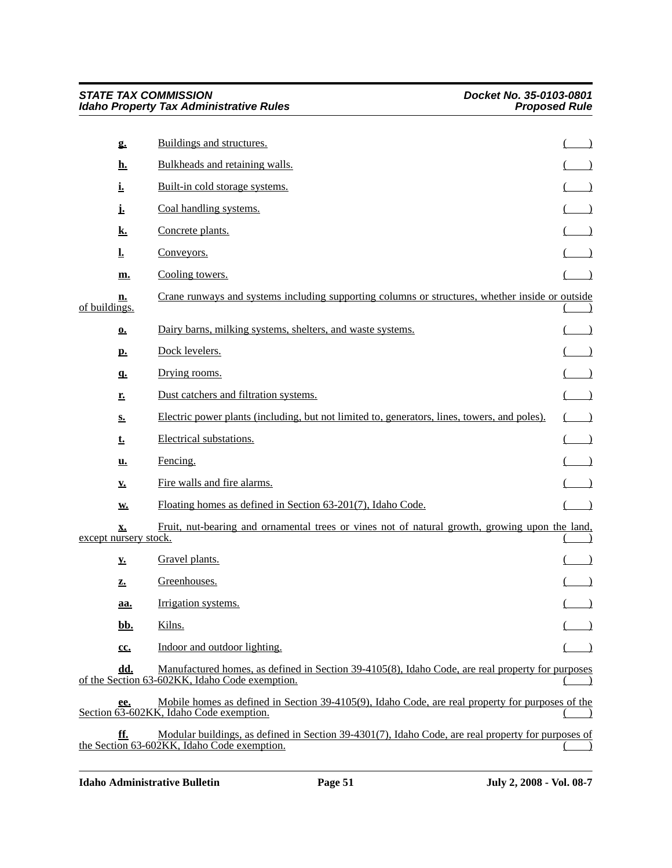|               | g.                          | Buildings and structures.                                                                                                                          |  |
|---------------|-----------------------------|----------------------------------------------------------------------------------------------------------------------------------------------------|--|
|               | <u>h.</u>                   | Bulkheads and retaining walls.                                                                                                                     |  |
|               | <u>i.</u>                   | Built-in cold storage systems.                                                                                                                     |  |
|               | Ŀ                           | Coal handling systems.                                                                                                                             |  |
|               | <u>k.</u>                   | Concrete plants.                                                                                                                                   |  |
|               | Ţ.                          | Conveyors.                                                                                                                                         |  |
|               | m.                          | Cooling towers.                                                                                                                                    |  |
| of buildings. | <u>n.</u>                   | Crane runways and systems including supporting columns or structures, whether inside or outside                                                    |  |
|               | $\Omega$ .                  | Dairy barns, milking systems, shelters, and waste systems.                                                                                         |  |
|               | <u>p.</u>                   | Dock levelers.                                                                                                                                     |  |
|               | $q_{\cdot}$                 | Drying rooms.                                                                                                                                      |  |
|               | r.                          | Dust catchers and filtration systems.                                                                                                              |  |
|               | $S_{\bullet}$               | Electric power plants (including, but not limited to, generators, lines, towers, and poles).                                                       |  |
|               | <u>t.</u>                   | Electrical substations.                                                                                                                            |  |
|               | <u>u.</u>                   | Fencing.                                                                                                                                           |  |
|               | <u>v.</u>                   | Fire walls and fire alarms.                                                                                                                        |  |
|               | <b>W.</b>                   | Floating homes as defined in Section 63-201(7), Idaho Code.                                                                                        |  |
|               | x.<br>except nursery stock. | Fruit, nut-bearing and ornamental trees or vines not of natural growth, growing upon the land,                                                     |  |
|               | $\underline{\mathbf{v}}$ .  | Gravel plants.                                                                                                                                     |  |
|               | z.                          | Greenhouses.                                                                                                                                       |  |
|               | aa.                         | Irrigation systems.                                                                                                                                |  |
|               | <u>bb.</u>                  | Kilns.                                                                                                                                             |  |
|               | cc.                         | Indoor and outdoor lighting.                                                                                                                       |  |
|               | dd.                         | Manufactured homes, as defined in Section 39-4105(8), Idaho Code, are real property for purposes<br>of the Section 63-602KK, Idaho Code exemption. |  |
|               | ee.                         | Mobile homes as defined in Section 39-4105(9), Idaho Code, are real property for purposes of the<br>Section 63-602KK, Idaho Code exemption.        |  |
|               | <u>ff.</u>                  | Modular buildings, as defined in Section 39-4301(7), Idaho Code, are real property for purposes of<br>the Section 63-602KK, Idaho Code exemption.  |  |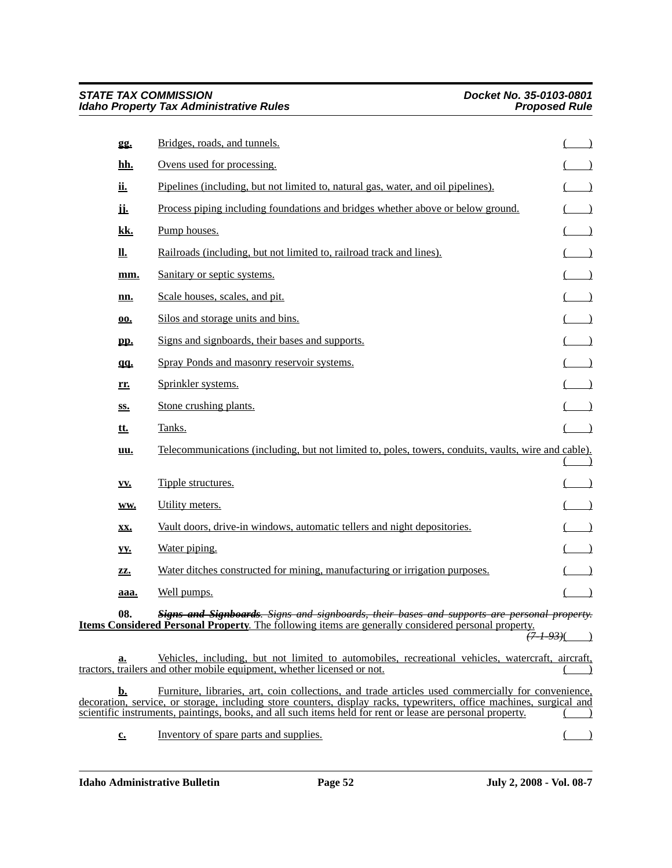| 22.                        | Bridges, roads, and tunnels.                                                                                                                                                                                                                                                                                                             |                                                                                        |
|----------------------------|------------------------------------------------------------------------------------------------------------------------------------------------------------------------------------------------------------------------------------------------------------------------------------------------------------------------------------------|----------------------------------------------------------------------------------------|
| <u>hh.</u>                 | Ovens used for processing.                                                                                                                                                                                                                                                                                                               |                                                                                        |
| <u>ii.</u>                 | Pipelines (including, but not limited to, natural gas, water, and oil pipelines).                                                                                                                                                                                                                                                        |                                                                                        |
| <u>іі.</u>                 | Process piping including foundations and bridges whether above or below ground.                                                                                                                                                                                                                                                          | $\begin{pmatrix} 1 \\ -1 \end{pmatrix}$                                                |
| <u>kk.</u>                 | Pump houses.                                                                                                                                                                                                                                                                                                                             | $($ )                                                                                  |
| <u>II.</u>                 | Railroads (including, but not limited to, railroad track and lines).                                                                                                                                                                                                                                                                     |                                                                                        |
| mm.                        | Sanitary or septic systems.                                                                                                                                                                                                                                                                                                              | $(\underline{\hspace{1cm}})$                                                           |
| <u>nn.</u>                 | Scale houses, scales, and pit.                                                                                                                                                                                                                                                                                                           | $\overline{(\qquad)}$                                                                  |
| <u>00.</u>                 | Silos and storage units and bins.                                                                                                                                                                                                                                                                                                        |                                                                                        |
| pp.                        | Signs and signboards, their bases and supports.                                                                                                                                                                                                                                                                                          | $\begin{pmatrix} \frac{1}{2} & \frac{1}{2} \\ \frac{1}{2} & \frac{1}{2} \end{pmatrix}$ |
| qq.                        | Spray Ponds and masonry reservoir systems.                                                                                                                                                                                                                                                                                               |                                                                                        |
| rr.                        | Sprinkler systems.                                                                                                                                                                                                                                                                                                                       |                                                                                        |
| SS.                        | Stone crushing plants.                                                                                                                                                                                                                                                                                                                   | $\begin{pmatrix} 1 & 1 \\ 1 & 1 \end{pmatrix}$                                         |
| <u>tt.</u>                 | Tanks.                                                                                                                                                                                                                                                                                                                                   | $($ )                                                                                  |
| uu.                        | Telecommunications (including, but not limited to, poles, towers, conduits, vaults, wire and cable).                                                                                                                                                                                                                                     |                                                                                        |
| VV.                        | Tipple structures.                                                                                                                                                                                                                                                                                                                       |                                                                                        |
| WW.                        | Utility meters.                                                                                                                                                                                                                                                                                                                          | $\begin{pmatrix} 1 \\ -1 \end{pmatrix}$                                                |
| XX.                        | Vault doors, drive-in windows, automatic tellers and night depositories.                                                                                                                                                                                                                                                                 | $\left( \begin{array}{cc} \end{array} \right)$                                         |
| yy.                        | Water piping.                                                                                                                                                                                                                                                                                                                            | $($ $)$                                                                                |
| ZZ.                        | Water ditches constructed for mining, manufacturing or irrigation purposes.                                                                                                                                                                                                                                                              | $($ $)$                                                                                |
| aaa.                       | Well pumps.                                                                                                                                                                                                                                                                                                                              | $\overline{\phantom{a}}$                                                               |
| 08.                        | Signs and Signboards. Signs and signboards, their bases and supports are personal property.<br><b>Items Considered Personal Property</b> . The following items are generally considered personal property.<br><del>(7 1 93)</del> (                                                                                                      |                                                                                        |
| a.                         | Vehicles, including, but not limited to automobiles, recreational vehicles, watercraft, aircraft,<br>tractors, trailers and other mobile equipment, whether licensed or not.                                                                                                                                                             |                                                                                        |
| <u>b.</u>                  | Furniture, libraries, art, coin collections, and trade articles used commercially for convenience,<br>decoration, service, or storage, including store counters, display racks, typewriters, office machines, surgical and<br>scientific instruments, paintings, books, and all such items held for rent or lease are personal property. |                                                                                        |
| $\underline{\mathbf{c}}$ . | Inventory of spare parts and supplies.                                                                                                                                                                                                                                                                                                   |                                                                                        |